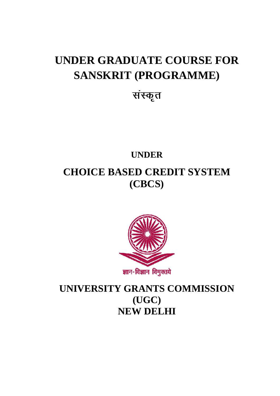# **UNDER GRADUATE COURSE FOR SANSKRIT (PROGRAMME)**

# संस्कृत

# **UNDER CHOICE BASED CREDIT SYSTEM (CBCS)**



**UNIVERSITY GRANTS COMMISSION (UGC) NEW DELHI**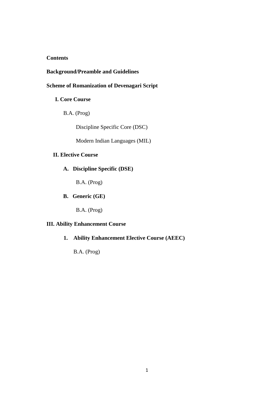## **Contents**

## **Background/Preamble and Guidelines**

## **Scheme of Romanization of Devenagari Script**

### **I. Core Course**

B.A. (Prog)

Discipline Specific Core (DSC)

Modern Indian Languages (MIL)

## **II. Elective Course**

## **A. Discipline Specific (DSE)**

B.A. (Prog)

**B. Generic (GE)** 

B.A. (Prog)

## **III. Ability Enhancement Course**

**1. Ability Enhancement Elective Course (AEEC)** 

B.A. (Prog)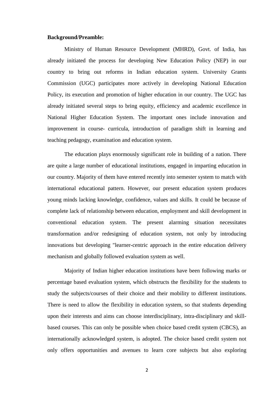#### **Background/Preamble:**

Ministry of Human Resource Development (MHRD), Govt. of India, has already initiated the process for developing New Education Policy (NEP) in our country to bring out reforms in Indian education system. University Grants Commission (UGC) participates more actively in developing National Education Policy, its execution and promotion of higher education in our country. The UGC has already initiated several steps to bring equity, efficiency and academic excellence in National Higher Education System. The important ones include innovation and improvement in course- curricula, introduction of paradigm shift in learning and teaching pedagogy, examination and education system.

The education plays enormously significant role in building of a nation. There are quite a large number of educational institutions, engaged in imparting education in our country. Majority of them have entered recently into semester system to match with international educational pattern. However, our present education system produces young minds lacking knowledge, confidence, values and skills. It could be because of complete lack of relationship between education, employment and skill development in conventional education system. The present alarming situation necessitates transformation and/or redesigning of education system, not only by introducing innovations but developing "learner-centric approach in the entire education delivery mechanism and globally followed evaluation system as well.

Majority of Indian higher education institutions have been following marks or percentage based evaluation system, which obstructs the flexibility for the students to study the subjects/courses of their choice and their mobility to different institutions. There is need to allow the flexibility in education system, so that students depending upon their interests and aims can choose interdisciplinary, intra-disciplinary and skillbased courses. This can only be possible when choice based credit system (CBCS), an internationally acknowledged system, is adopted. The choice based credit system not only offers opportunities and avenues to learn core subjects but also exploring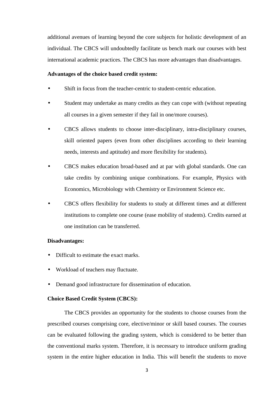additional avenues of learning beyond the core subjects for holistic development of an individual. The CBCS will undoubtedly facilitate us bench mark our courses with best international academic practices. The CBCS has more advantages than disadvantages.

#### **Advantages of the choice based credit system:**

- Shift in focus from the teacher-centric to student-centric education.
- Student may undertake as many credits as they can cope with (without repeating all courses in a given semester if they fail in one/more courses).
- CBCS allows students to choose inter-disciplinary, intra-disciplinary courses, skill oriented papers (even from other disciplines according to their learning needs, interests and aptitude) and more flexibility for students).
- CBCS makes education broad-based and at par with global standards. One can take credits by combining unique combinations. For example, Physics with Economics, Microbiology with Chemistry or Environment Science etc.
- CBCS offers flexibility for students to study at different times and at different institutions to complete one course (ease mobility of students). Credits earned at one institution can be transferred.

#### **Disadvantages:**

- Difficult to estimate the exact marks.
- Workload of teachers may fluctuate.
- Demand good infrastructure for dissemination of education.

#### **Choice Based Credit System (CBCS):**

The CBCS provides an opportunity for the students to choose courses from the prescribed courses comprising core, elective/minor or skill based courses. The courses can be evaluated following the grading system, which is considered to be better than the conventional marks system. Therefore, it is necessary to introduce uniform grading system in the entire higher education in India. This will benefit the students to move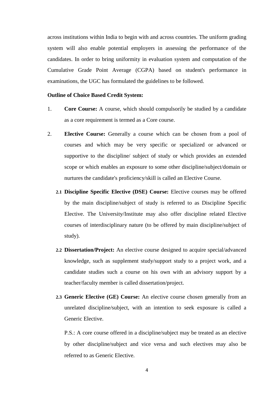across institutions within India to begin with and across countries. The uniform grading system will also enable potential employers in assessing the performance of the candidates. In order to bring uniformity in evaluation system and computation of the Cumulative Grade Point Average (CGPA) based on student's performance in examinations, the UGC has formulated the guidelines to be followed.

#### **Outline of Choice Based Credit System:**

- 1. **Core Course:** A course, which should compulsorily be studied by a candidate as a core requirement is termed as a Core course.
- 2. **Elective Course:** Generally a course which can be chosen from a pool of courses and which may be very specific or specialized or advanced or supportive to the discipline/ subject of study or which provides an extended scope or which enables an exposure to some other discipline/subject/domain or nurtures the candidate's proficiency/skill is called an Elective Course.
	- **2.1 Discipline Specific Elective (DSE) Course:** Elective courses may be offered by the main discipline/subject of study is referred to as Discipline Specific Elective. The University/Institute may also offer discipline related Elective courses of interdisciplinary nature (to be offered by main discipline/subject of study).
	- **2.2 Dissertation/Project:** An elective course designed to acquire special/advanced knowledge, such as supplement study/support study to a project work, and a candidate studies such a course on his own with an advisory support by a teacher/faculty member is called dissertation/project.
	- **2.3 Generic Elective (GE) Course:** An elective course chosen generally from an unrelated discipline/subject, with an intention to seek exposure is called a Generic Elective.

P.S.: A core course offered in a discipline/subject may be treated as an elective by other discipline/subject and vice versa and such electives may also be referred to as Generic Elective.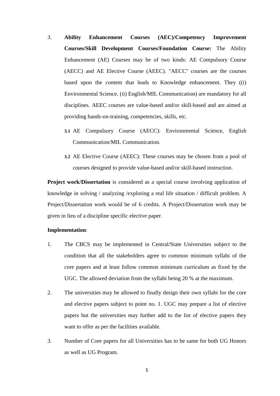- 3. **Ability Enhancement Courses (AEC)/Competency Improvement Courses/Skill Development Courses/Foundation Course:** The Ability Enhancement (AE) Courses may be of two kinds: AE Compulsory Course (AECC) and AE Elective Course (AEEC). "AECC" courses are the courses based upon the content that leads to Knowledge enhancement. They ((i) Environmental Science, (ii) English/MIL Communication) are mandatory for all disciplines. AEEC courses are value-based and/or skill-based and are aimed at providing hands-on-training, competencies, skills, etc.
	- **3.1** AE Compulsory Course (AECC): Environmental Science, English Communication/MIL Communication.
	- **3.2** AE Elective Course (AEEC): These courses may be chosen from a pool of courses designed to provide value-based and/or skill-based instruction.

**Project work/Dissertation** is considered as a special course involving application of knowledge in solving / analyzing /exploring a real life situation / difficult problem. A Project/Dissertation work would be of 6 credits. A Project/Dissertation work may be given in lieu of a discipline specific elective paper.

#### **Implementation**:

- 1. The CBCS may be implemented in Central/State Universities subject to the condition that all the stakeholders agree to common minimum syllabi of the core papers and at least follow common minimum curriculum as fixed by the UGC. The allowed deviation from the syllabi being 20 % at the maximum.
- 2. The universities may be allowed to finally design their own syllabi for the core and elective papers subject to point no. 1. UGC may prepare a list of elective papers but the universities may further add to the list of elective papers they want to offer as per the facilities available.
- 3. Number of Core papers for all Universities has to be same for both UG Honors as well as UG Program.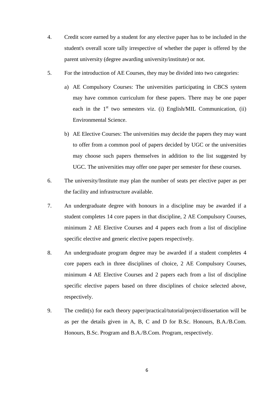- 4. Credit score earned by a student for any elective paper has to be included in the student's overall score tally irrespective of whether the paper is offered by the parent university (degree awarding university/institute) or not.
- 5. For the introduction of AE Courses, they may be divided into two categories:
	- a) AE Compulsory Courses: The universities participating in CBCS system may have common curriculum for these papers. There may be one paper each in the  $1<sup>st</sup>$  two semesters viz. (i) English/MIL Communication, (ii) Environmental Science.
	- b) AE Elective Courses: The universities may decide the papers they may want to offer from a common pool of papers decided by UGC or the universities may choose such papers themselves in addition to the list suggested by UGC. The universities may offer one paper per semester for these courses.
- 6. The university/Institute may plan the number of seats per elective paper as per the facility and infrastructure available.
- 7. An undergraduate degree with honours in a discipline may be awarded if a student completes 14 core papers in that discipline, 2 AE Compulsory Courses, minimum 2 AE Elective Courses and 4 papers each from a list of discipline specific elective and generic elective papers respectively.
- 8. An undergraduate program degree may be awarded if a student completes 4 core papers each in three disciplines of choice, 2 AE Compulsory Courses, minimum 4 AE Elective Courses and 2 papers each from a list of discipline specific elective papers based on three disciplines of choice selected above, respectively.
- 9. The credit(s) for each theory paper/practical/tutorial/project/dissertation will be as per the details given in A, B, C and D for B.Sc. Honours, B.A./B.Com. Honours, B.Sc. Program and B.A./B.Com. Program, respectively.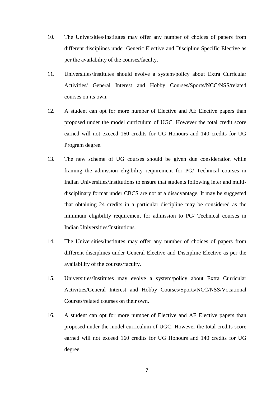- 10. The Universities/Institutes may offer any number of choices of papers from different disciplines under Generic Elective and Discipline Specific Elective as per the availability of the courses/faculty.
- 11. Universities/Institutes should evolve a system/policy about Extra Curricular Activities/ General Interest and Hobby Courses/Sports/NCC/NSS/related courses on its own.
- 12. A student can opt for more number of Elective and AE Elective papers than proposed under the model curriculum of UGC. However the total credit score earned will not exceed 160 credits for UG Honours and 140 credits for UG Program degree.
- 13. The new scheme of UG courses should be given due consideration while framing the admission eligibility requirement for PG/ Technical courses in Indian Universities/Institutions to ensure that students following inter and multidisciplinary format under CBCS are not at a disadvantage. It may be suggested that obtaining 24 credits in a particular discipline may be considered as the minimum eligibility requirement for admission to PG/ Technical courses in Indian Universities/Institutions.
- 14. The Universities/Institutes may offer any number of choices of papers from different disciplines under General Elective and Discipline Elective as per the availability of the courses/faculty.
- 15. Universities/Institutes may evolve a system/policy about Extra Curricular Activities/General Interest and Hobby Courses/Sports/NCC/NSS/Vocational Courses/related courses on their own.
- 16. A student can opt for more number of Elective and AE Elective papers than proposed under the model curriculum of UGC. However the total credits score earned will not exceed 160 credits for UG Honours and 140 credits for UG degree.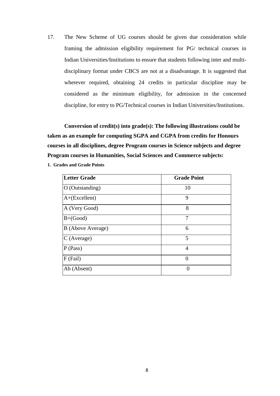17. The New Scheme of UG courses should be given due consideration while framing the admission eligibility requirement for PG/ technical courses in Indian Universities/Institutions to ensure that students following inter and multidisciplinary format under CBCS are not at a disadvantage. It is suggested that wherever required, obtaining 24 credits in particular discipline may be considered as the minimum eligibility, for admission in the concerned discipline, for entry to PG/Technical courses in Indian Universities/Institutions.

**Conversion of credit(s) into grade(s): The following illustrations could be taken as an example for computing SGPA and CGPA from credits for Honours courses in all disciplines, degree Program courses in Science subjects and degree Program courses in Humanities, Social Sciences and Commerce subjects:** 

| 1. Grades and Grade Points |  |
|----------------------------|--|
|----------------------------|--|

| Letter Grade      | <b>Grade Point</b> |
|-------------------|--------------------|
| O (Outstanding)   | 10                 |
| $A+(Excellent)$   | 9                  |
| A (Very Good)     | 8                  |
| $B+(Good)$        | 7                  |
| B (Above Average) | 6                  |
| $C$ (Average)     | 5                  |
| P(Pass)           | 4                  |
| $F$ (Fail)        |                    |
| Ab (Absent)       | 0                  |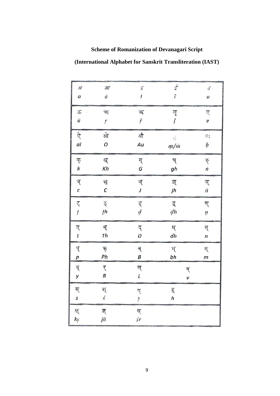## **Scheme of Romanization of Devanagari Script**

**(International Alphabet for Sanskrit Transliteration (IAST)** 

| ЗГ                                     | $\frac{3}{T}$ | इ                | す                   | $\sqrt{2}$                 |
|----------------------------------------|---------------|------------------|---------------------|----------------------------|
| a                                      | $\bar{a}$     | $\mathbf{I}$     | $\overline{i}$      | $\boldsymbol{\mathcal{U}}$ |
|                                        |               |                  |                     |                            |
| ऊ<br>$\ddot{\phantom{a}}$<br>$\bar{u}$ | ऋ<br>ŗ        | 乖<br>ř           | लृ<br>$\mathfrak l$ | ए<br>e                     |
| ऐ                                      | ओे            | औ                | ं                   | $\circ:$                   |
| àΪ                                     | o             | Àu               | $m/$ m              | ķ                          |
| क्                                     | ख्            | ग्               | घ्                  | ड़ा                        |
| $\pmb{k}$                              | Kh            | G                | gh                  | $\dot{n}$                  |
| च्                                     | छ्            | ज्               | झ्                  | ञ्                         |
| $\epsilon$                             | C             | J                | jh                  | ñ                          |
| ट्                                     | ठ्            | ड्               | द्                  | ण्                         |
| $\mathfrak{i}$                         | ţh            | $\boldsymbol{d}$ | dh                  | ņ                          |
| त्                                     | थ्            | द्               | ध्                  | न्                         |
| $\pmb{t}$                              | Th            | D                | dh                  | $\boldsymbol{n}$           |
| प्                                     | फ्            | ब्               | भू                  | म्                         |
| $\overline{p}$                         | Ph            | B                | bh                  | m                          |
| य्                                     | र्            | ल्               | व्                  |                            |
| у                                      | R             | L                | v                   |                            |
| स्                                     | श्            | ष्               | हू                  |                            |
| S                                      | $\acute{s}$   | ş                | h                   |                            |
| क्ष्<br>kş                             | ল্<br>jñ      | श्र्<br>śr       |                     |                            |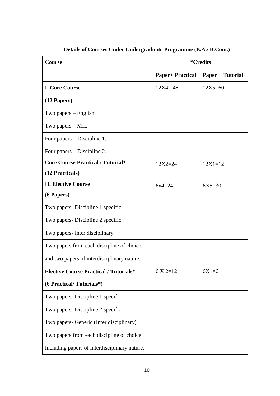| <b>Course</b>                                 | <i><b>*Credits</b></i>  |                  |  |
|-----------------------------------------------|-------------------------|------------------|--|
|                                               | <b>Paper+ Practical</b> | Paper + Tutorial |  |
| <b>I. Core Course</b>                         | $12X4 = 48$             | $12X5 = 60$      |  |
| $(12$ Papers)                                 |                         |                  |  |
| Two papers $-$ English                        |                         |                  |  |
| Two papers – MIL                              |                         |                  |  |
| Four papers – Discipline 1.                   |                         |                  |  |
| Four papers – Discipline 2.                   |                         |                  |  |
| <b>Core Course Practical / Tutorial*</b>      | $12X2 = 24$             | $12X1 = 12$      |  |
| (12 Practicals)                               |                         |                  |  |
| <b>II. Elective Course</b>                    | $6x4=24$                | $6X5=30$         |  |
| (6 Papers)                                    |                         |                  |  |
| Two papers - Discipline 1 specific            |                         |                  |  |
| Two papers - Discipline 2 specific            |                         |                  |  |
| Two papers- Inter disciplinary                |                         |                  |  |
| Two papers from each discipline of choice     |                         |                  |  |
| and two papers of interdisciplinary nature.   |                         |                  |  |
| <b>Elective Course Practical / Tutorials*</b> | $6 \times 2 = 12$       | $6X1=6$          |  |
| (6 Practical/Tutorials*)                      |                         |                  |  |
| Two papers- Discipline 1 specific             |                         |                  |  |
| Two papers - Discipline 2 specific            |                         |                  |  |
| Two papers- Generic (Inter disciplinary)      |                         |                  |  |
| Two papers from each discipline of choice     |                         |                  |  |
| Including papers of interdisciplinary nature. |                         |                  |  |

**Details of Courses Under Undergraduate Programme (B.A./ B.Com.)**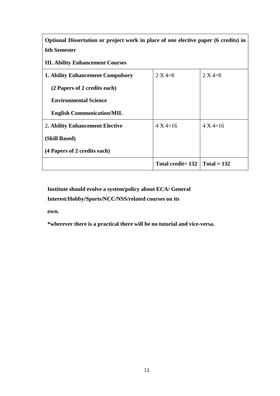**Optional Dissertation or project work in place of one elective paper (6 credits) in 6th Semester** 

**III. Ability Enhancement Courses**

| <b>1. Ability Enhancement Compulsory</b> | $2 X 4 = 8$           | $2 X 4 = 8$         |
|------------------------------------------|-----------------------|---------------------|
| (2 Papers of 2 credits each)             |                       |                     |
| <b>Environmental Science</b>             |                       |                     |
| <b>English Communication/MIL</b>         |                       |                     |
| 2. Ability Enhancement Elective          | $4 \text{ X } 4 = 16$ | $4 \text{ X } 4=16$ |
| (Skill Based)                            |                       |                     |
| (4 Papers of 2 credits each)             |                       |                     |
|                                          | Total credit= 132     | $\Gamma$ otal = 132 |

**Institute should evolve a system/policy about ECA/ General Interest/Hobby/Sports/NCC/NSS/related courses on its** 

**own.** 

**\*wherever there is a practical there will be no tutorial and vice-versa.**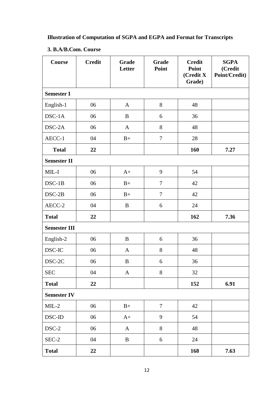## **Illustration of Computation of SGPA and EGPA and Format for Transcripts**

## **3. B.A/B.Com. Course**

| <b>Course</b>           | <b>Credit</b> | Grade<br>Letter | Grade<br>Point | <b>Credit</b><br>Point<br>(Credit X)<br>Grade) | <b>SGPA</b><br>(Credit<br>Point/Credit) |
|-------------------------|---------------|-----------------|----------------|------------------------------------------------|-----------------------------------------|
| <b>Semester I</b>       |               |                 |                |                                                |                                         |
| English-1               | 06            | $\mathbf{A}$    | 8              | 48                                             |                                         |
| DSC-1A                  | 06            | B               | 6              | 36                                             |                                         |
| DSC-2A                  | 06            | A               | 8              | 48                                             |                                         |
| AECC-1                  | 04            | $B+$            | $\tau$         | 28                                             |                                         |
| <b>Total</b>            | 22            |                 |                | 160                                            | 7.27                                    |
| <b>Semester II</b>      |               |                 |                |                                                |                                         |
| MIL-I                   | 06            | $A+$            | 9              | 54                                             |                                         |
| $DSC-1B$                | 06            | $B+$            | $\overline{7}$ | 42                                             |                                         |
| $DSC-2B$                | 06            | $B+$            | $\overline{7}$ | 42                                             |                                         |
| AECC-2                  | 04            | B               | 6              | 24                                             |                                         |
| <b>Total</b>            | 22            |                 |                | 162                                            | 7.36                                    |
| <b>Semester III</b>     |               |                 |                |                                                |                                         |
| English-2               | 06            | B               | 6              | 36                                             |                                         |
| DSC-IC                  | 06            | $\mathbf{A}$    | 8              | 48                                             |                                         |
| DSC-2C                  | 06            | B               | 6              | 36                                             |                                         |
| $\rm{SEC}$              | $04$          | $\mathbf{A}$    | $8\,$          | 32                                             |                                         |
| <b>Total</b>            | 22            |                 |                | 152                                            | 6.91                                    |
| <b>Semester IV</b>      |               |                 |                |                                                |                                         |
| $MIL-2$                 | 06            | $\mathbf{B}+$   | $\overline{7}$ | 42                                             |                                         |
| $\operatorname{DSC-ID}$ | 06            | $A+$            | 9              | 54                                             |                                         |
| $DSC-2$                 | 06            | $\mathbf{A}$    | 8              | 48                                             |                                         |
| $SEC-2$                 | 04            | $\, {\bf B}$    | $\sqrt{6}$     | 24                                             |                                         |
| <b>Total</b>            | 22            |                 |                | 168                                            | 7.63                                    |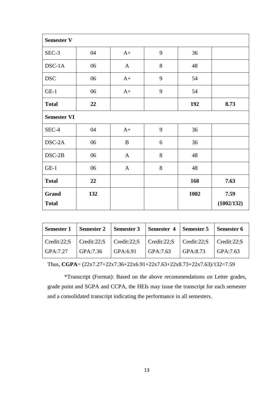| <b>Semester V</b>     |     |              |   |      |                    |
|-----------------------|-----|--------------|---|------|--------------------|
| SEC-3                 | 04  | $A+$         | 9 | 36   |                    |
| $DSC-1A$              | 06  | $\mathbf{A}$ | 8 | 48   |                    |
| <b>DSC</b>            | 06  | $A+$         | 9 | 54   |                    |
| $GE-1$                | 06  | $A+$         | 9 | 54   |                    |
| <b>Total</b>          | 22  |              |   | 192  | 8.73               |
| <b>Semester VI</b>    |     |              |   |      |                    |
| SEC-4                 | 04  | $A+$         | 9 | 36   |                    |
| DSC-2A                | 06  | B            | 6 | 36   |                    |
| $DSC-2B$              | 06  | $\mathbf{A}$ | 8 | 48   |                    |
| $GE-1$                | 06  | $\mathbf{A}$ | 8 | 48   |                    |
| <b>Total</b>          | 22  |              |   | 168  | 7.63               |
| Grand<br><b>Total</b> | 132 |              |   | 1002 | 7.59<br>(1002/132) |

| <b>Semester 1</b> |          | Semester 2   Semester 3   Semester 4   Semester 5   Semester 6                                      |          |          |                       |
|-------------------|----------|-----------------------------------------------------------------------------------------------------|----------|----------|-----------------------|
| Credit:22;S       |          | $\vert$ Credit:22;S $\vert$ Credit:22;S $\vert$ Credit:22;S $\vert$ Credit:22;S $\vert$ Credit:22;S |          |          |                       |
| GPA:7.27          | GPA:7.36 | $\overline{GPA:6.91}$                                                                               | GPA:7.63 | GPA:8.73 | $\overline{GPA:7.63}$ |

Thus, **CGPA**= (22x7.27+22x7.36+22x6.91+22x7.63+22x8.73+22x7.63)/132=7.59

\*Transcript (Format): Based on the above recommendations on Letter grades, grade point and SGPA and CCPA, the HEIs may issue the transcript for each semester and a consolidated transcript indicating the performance in all semesters.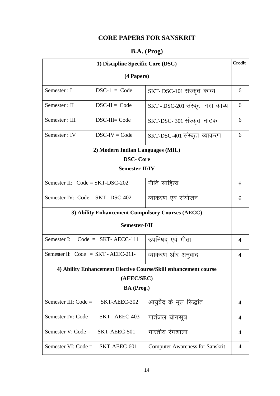## **CORE PAPERS FOR SANSKRIT**

## **B.A. (Prog)**

| 1) Discipline Specific Core (DSC)                |                                       |                                                                 | <b>Credit</b> |
|--------------------------------------------------|---------------------------------------|-----------------------------------------------------------------|---------------|
|                                                  | (4 Papers)                            |                                                                 |               |
| Semester: I                                      | $DSC-1 = Code$                        | SKT-DSC-101 संस्कृत काव्य                                       | 6             |
| Semester: II                                     | $DSC-II = Code$                       | SKT - DSC-201 संस्कृत गद्य काव्य                                | 6             |
| Semester: III                                    | DSC-III= Code                         | SKT-DSC-301 संस्कृत नाटक                                        | 6             |
| Semester: IV                                     | $DSC-IV = Code$                       | SKT-DSC-401 संस्कृत व्याकरण                                     | 6             |
|                                                  | 2) Modern Indian Languages (MIL)      |                                                                 |               |
|                                                  | <b>DSC-Core</b>                       |                                                                 |               |
|                                                  | Semester-II/IV                        |                                                                 |               |
|                                                  | Semester II: $Code = SKT-DSC-202$     | नीति साहित्य                                                    | 6             |
| Semester IV: $Code = SKT - DSC-402$              |                                       | व्याकरण एवं संयोजन                                              | 6             |
| 3) Ability Enhancement Compulsory Courses (AECC) |                                       |                                                                 |               |
| Semester-I/II                                    |                                       |                                                                 |               |
|                                                  | Semester I: Code = $SKT-AECC-111$     | उपनिषद् एवं गीता                                                | 4             |
|                                                  | Semester II: $Code = SKT - AEEC-211-$ | व्याकरण और अनुवाद                                               | 4             |
|                                                  |                                       | 4) Ability Enhancement Elective Course/Skill enhancement course |               |
|                                                  | (AEEC/SEC)                            |                                                                 |               |
|                                                  | BA (Prog.)                            |                                                                 |               |
| Semester III: $Code =$                           | SKT-AEEC-302                          | आयुर्वेद के मूल सिद्धांत                                        | 4             |
| Semester IV: $Code =$                            | SKT-AEEC-403                          | पातंजल योगसूत्र                                                 | 4             |
| Semester V: $Code =$                             | SKT-AEEC-501                          | भारतीय रंगशाला                                                  | 4             |
| Semester VI: $Code =$                            | SKT-AEEC-601-                         | <b>Computer Awareness for Sanskrit</b>                          | 4             |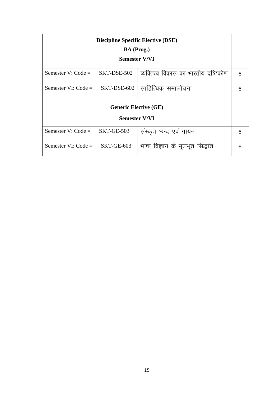| <b>Discipline Specific Elective (DSE)</b><br>BA (Prog.)    |               |                                      |   |  |
|------------------------------------------------------------|---------------|--------------------------------------|---|--|
|                                                            | Semester V/VI |                                      |   |  |
| Semester V: $Code =$<br>SKT-DSE-502                        |               | व्यक्तित्व विकास का भारतीय दृष्टिकोण | 6 |  |
| साहित्यिक समालोचना<br>Semester VI: $Code =$<br>SKT-DSE-602 |               |                                      | 6 |  |
| <b>Generic Elective (GE)</b>                               |               |                                      |   |  |
| <b>Semester V/VI</b>                                       |               |                                      |   |  |
| Semester V: $Code =$<br>SKT-GE-503                         |               | संस्कृत छन्द एवं गायन                | 6 |  |
| Semester VI: $Code =$<br>SKT-GE-603                        |               | भाषा विज्ञान के मूलभूत सिद्धांत      | 6 |  |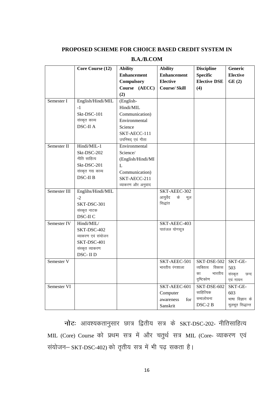### **PROPOSED SCHEME FOR CHOICE BASED CREDIT SYSTEM IN**

|                       | Core Course (12)   | <b>Ability</b>     | <b>Ability</b>        | <b>Discipline</b>   | Generic          |
|-----------------------|--------------------|--------------------|-----------------------|---------------------|------------------|
|                       |                    | <b>Enhancement</b> | <b>Enhancement</b>    | <b>Specific</b>     | <b>Elective</b>  |
|                       |                    | <b>Compulsory</b>  | <b>Elective</b>       | <b>Elective DSE</b> | GE(2)            |
|                       |                    | Course (AECC)      | <b>Course/Skill</b>   | (4)                 |                  |
|                       |                    | (2)                |                       |                     |                  |
| Semester I            | English/Hindi/MIL  | (English-          |                       |                     |                  |
|                       | $-1$               | Hindi/MIL          |                       |                     |                  |
|                       | Skt-DSC-101        | Communication)     |                       |                     |                  |
|                       | संस्कृत काव्य      | Environmental      |                       |                     |                  |
|                       | <b>DSC-II A</b>    | Science            |                       |                     |                  |
|                       |                    | SKT-AECC-111       |                       |                     |                  |
|                       |                    | उपनिषद् एवं गीता   |                       |                     |                  |
| Semester II           | Hindi/MIL-1        | Environmental      |                       |                     |                  |
|                       | Skt-DSC-202        | Science/           |                       |                     |                  |
|                       | नीति साहित्य       | (English/Hindi/MI  |                       |                     |                  |
|                       | Skt-DSC-201        | $\mathbf{L}$       |                       |                     |                  |
|                       | संस्कृत गद्य काव्य | Communication)     |                       |                     |                  |
|                       | <b>DSC-II B</b>    | SKT-AECC-211       |                       |                     |                  |
|                       |                    | व्याकरण और अनुवाद  |                       |                     |                  |
| Semester III          | Englihs/Hindi/MIL  |                    | SKT-AEEC-302          |                     |                  |
|                       | $-2$               |                    | आयुर्वेद<br>के<br>मूल |                     |                  |
|                       | SKT-DSC-301        |                    | सिद्धांत              |                     |                  |
|                       | संस्कृत नाटक       |                    |                       |                     |                  |
|                       | DSC-II C           |                    |                       |                     |                  |
| Semester IV           | Hindi/MIL/         |                    | SKT-AEEC-403          |                     |                  |
|                       | SKT-DSC-402        |                    | पातंजल योगसूत्र       |                     |                  |
|                       | व्याकरण एवं संयोजन |                    |                       |                     |                  |
|                       | SKT-DSC-401        |                    |                       |                     |                  |
|                       | संस्कृत व्याकरण    |                    |                       |                     |                  |
|                       | DSC-IID            |                    |                       |                     |                  |
| Semester <sub>V</sub> |                    |                    | SKT-AEEC-501          | SKT-DSE-502         | SKT-GE-          |
|                       |                    |                    | भारतीय रंगशाला        | व्यक्तित्व<br>विकास | 503              |
|                       |                    |                    |                       | का<br>भारतीय        | संस्कृत<br>छन्द  |
|                       |                    |                    |                       | दृष्टिकोण           | एवं गायन         |
| Semester VI           |                    |                    | SKT-AEEC-601          | SKT-DSE-602         | SKT-GE-          |
|                       |                    |                    | Computer              | साहित्यिक           | 603              |
|                       |                    |                    | awareness<br>for      | समालोचना            | भाषा विज्ञान के  |
|                       |                    |                    | Sanskrit              | DSC-2 B             | मूलभूत सिद्धान्त |

## **B.A./B.COM**

**नोटः** आवश्यकतानुसार छात्र द्वितीय सत्र के SKT-DSC-202- नीतिसाहित्य MIL (Core) Course को प्रथम सत्र में और चतुर्थ सत्र MIL (Core- व्याकरण एवं संयोजन– SKT-DSC-402) को तृतीय सत्र में भी पढ़ सकता है।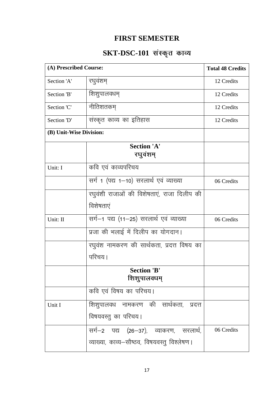## **FIRST SEMESTER**

# SKT-DSC-101 संस्कृत काव्य

| (A) Prescribed Course:  |                                              | <b>Total 48 Credits</b> |
|-------------------------|----------------------------------------------|-------------------------|
| Section 'A'             | रघुवंशम्                                     | 12 Credits              |
| Section 'B'             | शिशुपालवधम्                                  | 12 Credits              |
| Section 'C'             | नीतिशतकम्                                    | 12 Credits              |
| Section 'D'             | संस्कृत काव्य का इतिहास                      | 12 Credits              |
| (B) Unit-Wise Division: |                                              |                         |
|                         | <b>Section 'A'</b>                           |                         |
|                         |                                              |                         |
|                         | रघुवंशम्                                     |                         |
| Unit: I                 | कवि एवं काव्यपरिचय                           |                         |
|                         |                                              |                         |
|                         | सर्ग 1 (पद्य 1-10) सरलार्थ एवं व्याख्या      | 06 Credits              |
|                         | रघुवंशी राजाओं की विशेषताएं, राजा दिलीप की   |                         |
|                         | विशेषताएं                                    |                         |
| Unit: II                | सर्ग-1 पद्य (11-25) सरलार्थ एवं व्याख्या     | 06 Credits              |
|                         | प्रजा की भलाई में दिलीप का योगदान।           |                         |
|                         | रघुवंश नामकरण की सार्थकता, प्रदत्त विषय का   |                         |
|                         | परिचय ।                                      |                         |
|                         | <b>Section 'B'</b>                           |                         |
|                         | शिशुपालवधम्                                  |                         |
|                         | कवि एवं विषय का परिचय।                       |                         |
| Unit I                  | शिशुपालवध नामकरण की सार्थकता, प्रदत्त        |                         |
|                         | विषयवस्तु का परिचय।                          |                         |
|                         | सर्ग–2 पद्य (26–37), व्याकरण, सरलार्थ,       | 06 Credits              |
|                         | व्याख्या, काव्य-सौष्ठव, विषयवस्तु विश्लेषण । |                         |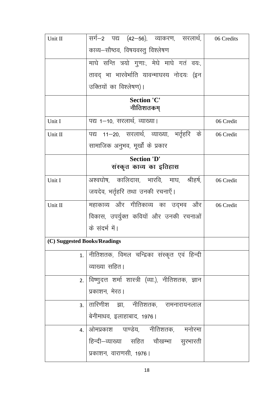| Unit II                      | सर्ग–2 पद्य (42–56), व्याकरण, सरलार्थ,<br>काव्य—सौष्ठव, विषयवस्तु विश्लेषण | 06 Credits |
|------------------------------|----------------------------------------------------------------------------|------------|
|                              |                                                                            |            |
|                              | माघे सन्ति त्रयो गुणाः, मेघे माघे गतं वयः,                                 |            |
|                              | तावद् भा भारवेर्भाति यावन्माघस्य नोदयः (इन                                 |            |
|                              | उक्तियों का विश्लेषण)।                                                     |            |
|                              | <b>Section 'C'</b><br>नीतिशतकम्                                            |            |
| Unit I                       | पद्य 1-10, सरलार्थ, व्याख्या।                                              | 06 Credit  |
| Unit II                      | पद्य 11–20, सरलार्थ, व्याख्या, भर्तृहरि के                                 | 06 Credit  |
|                              | सामाजिक अनुभव, मूर्खों के प्रकार                                           |            |
|                              | <b>Section 'D'</b>                                                         |            |
|                              | संस्कृत काव्य का इतिहास                                                    |            |
| Unit I                       | अश्वघोष, कालिदास, भारवि, माघ, श्रीहर्ष,                                    | 06 Credit  |
|                              | जयदेव, भर्तृहरि तथा उनकी रचनाएँ।                                           |            |
| Unit II                      | महाकाव्य और गीतिकाव्य का उद्भव और                                          | 06 Credit  |
|                              | विकास, उपर्युक्त कवियों और उनकी रचनाओं                                     |            |
|                              | के संदर्भ में।                                                             |            |
| (C) Suggested Books/Readings |                                                                            |            |
| 1.                           | नीतिशतक, विमल चन्द्रिका संस्कृत एवं हिन्दी                                 |            |
|                              | व्याख्या सहित।                                                             |            |
|                              | 2. विष्णूदत्त शर्मा शास्त्री (व्या.), नीतिशतक, ज्ञान                       |            |
|                              | प्रकाशन, मेरठ।                                                             |            |
| 3.1                          | तारिणीश झा, नीतिशतक, रामनारायनलाल                                          |            |
|                              | बेनीमाधव, इलाहाबाद, 1976।                                                  |            |
| 4 <sub>1</sub>               | ओमप्रकाश पाण्डेय, नीतिशतक, मनोरमा                                          |            |
|                              | हिन्दी–व्याख्या सहित चौखम्भा सूरभारती                                      |            |
|                              | प्रकाशन, वाराणसी, 1976।                                                    |            |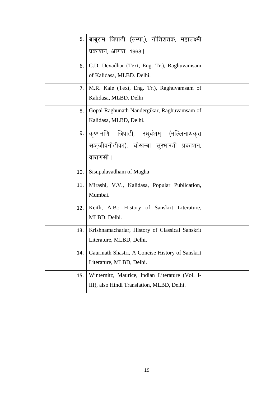|     | 5. बाबूराम त्रिपाठी (सम्पा.), नीतिशतक, महालक्ष्मी<br>प्रकाशन, आगरा, 1968।                            |  |
|-----|------------------------------------------------------------------------------------------------------|--|
| 6.  | C.D. Devadhar (Text, Eng. Tr.), Raghuvamsam<br>of Kalidasa, MLBD. Delhi.                             |  |
| 7.  | M.R. Kale (Text, Eng. Tr.), Raghuvamsam of<br>Kalidasa, MLBD. Delhi                                  |  |
| 8.  | Gopal Raghunath Nandergikar, Raghuvamsam of<br>Kalidasa, MLBD, Delhi.                                |  |
|     | ९. कृष्णमणि त्रिपाठी, रघुवंशम् (मल्लिनाथकृत<br>सञ्जीवनीटीका), चौखम्बा सुरभारती प्रकाशन,<br>वाराणसी । |  |
| 10. | Sisupalavadham of Magha                                                                              |  |
| 11. | Mirashi, V.V., Kalidasa, Popular Publication,<br>Mumbai.                                             |  |
| 12. | Keith, A.B.: History of Sanskrit Literature,<br>MLBD, Delhi.                                         |  |
| 13. | Krishnamachariar, History of Classical Sanskrit<br>Literature, MLBD, Delhi.                          |  |
| 14. | Gaurinath Shastri, A Concise History of Sanskrit<br>Literature, MLBD, Delhi.                         |  |
| 15. | Winternitz, Maurice, Indian Literature (Vol. I-<br>III), also Hindi Translation, MLBD, Delhi.        |  |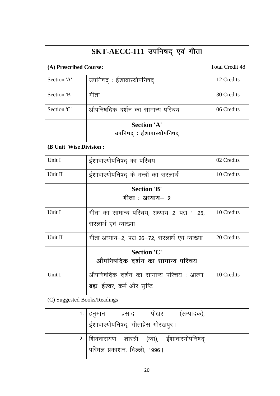| SKT-AECC-111 उपनिषद् एवं गीता |                                                 |                        |
|-------------------------------|-------------------------------------------------|------------------------|
| (A) Prescribed Course:        |                                                 | <b>Total Credit 48</b> |
| Section 'A'                   | उपनिषद्: ईशावास्योपनिषद                         | 12 Credits             |
| Section 'B'                   | गीता                                            | 30 Credits             |
| Section 'C'                   | औपनिषदिक दर्शन का सामान्य परिचय                 | 06 Credits             |
|                               | <b>Section 'A'</b>                              |                        |
|                               | उपनिषद्ः ईशावास्योपनिषद्                        |                        |
| (B Unit Wise Division:        |                                                 |                        |
| Unit I                        | ईशावास्योपनिषद् का परिचय                        | 02 Credits             |
| Unit II                       | ईशावास्योपनिषद् के मन्त्रों का सरलार्थ          | 10 Credits             |
|                               | <b>Section 'B'</b>                              |                        |
|                               | गीता : अध्याय— 2                                |                        |
| Unit I                        | गीता का सामान्य परिचय, अध्याय–2–पद्य 1–25,      | 10 Credits             |
|                               | सरलार्थ एवं व्याख्या                            |                        |
| Unit II                       | गीता अध्याय-2, पद्य 26-72, सरलार्थ एवं व्याख्या | 20 Credits             |
|                               | <b>Section 'C'</b>                              |                        |
|                               | औपनिषदिक दर्शन का सामान्य परिचय                 |                        |
| Unit I                        | औपनिषदिक दर्शन का सामान्य परिचय : आत्मा,        | 10 Credits             |
|                               | ब्रह्म, ईश्वर, कर्म और सृष्टि।                  |                        |
| (C) Suggested Books/Readings  |                                                 |                        |
| 1.                            | हनुमान प्रसाद पोद्दार (सम्पादक),                |                        |
|                               | ईशावास्योपनिषद्, गीताप्रेस गोरखपुर।             |                        |
| 2.                            | शिवनारायण शास्त्री (व्या), ईशावास्योपनिषद्      |                        |
|                               | परिमल प्रकाशन, दिल्ली, 1996।                    |                        |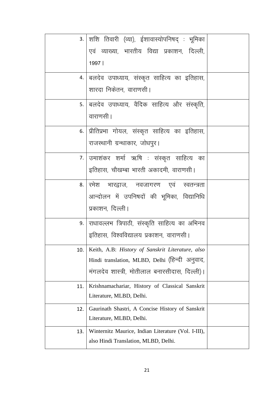| 3.1 | शशि तिवारी (व्या), ईशावास्योपनिषद् : भूमिका         |  |
|-----|-----------------------------------------------------|--|
|     | एवं व्याख्या, भारतीय विद्या प्रकाशन, दिल्ली,        |  |
|     | 1997                                                |  |
| 4.  | बलदेव उपाध्याय, संस्कृत साहित्य का इतिहास,          |  |
|     | शारदा निकेतन, वाराणसी।                              |  |
|     | 5.   बलदेव उपाध्याय, वैदिक साहित्य और संस्कृति,     |  |
|     | वाराणसी ।                                           |  |
|     | 6. प्रीतिप्रभा गोयल, संस्कृत साहित्य का इतिहास,     |  |
|     | राजस्थानी ग्रन्थाकार, जोधपुर।                       |  |
|     | 7. उमाशंकर शर्मा ऋषि : संस्कृत साहित्य का           |  |
|     | इतिहास, चौखम्बा भारती अकादमी, वाराणसी।              |  |
|     | 8. रिमेश भारद्वाज, नवजागरण एवं स्वतन्त्रता          |  |
|     | आन्दोलन में उपनिषदों की भूमिका, विद्यानिधि          |  |
|     | प्रकाशन, दिल्ली।                                    |  |
|     | 9. सधावल्लभ त्रिपाठी, संस्कृति साहित्य का अभिनव     |  |
|     | इतिहास, विश्वविद्यालय प्रकाशन, वाराणसी।             |  |
| 10. | Keith, A.B: History of Sanskrit Literature, also    |  |
|     | Hindi translation, MLBD, Delhi (हिन्दी अनुवाद,      |  |
|     | मंगलदेव शास्त्री, मोतीलाल बनारसीदास, दिल्ली)।       |  |
| 11. | Krishnamachariar, History of Classical Sanskrit     |  |
|     | Literature, MLBD, Delhi.                            |  |
| 12. | Gaurinath Shastri, A Concise History of Sanskrit    |  |
|     | Literature, MLBD, Delhi.                            |  |
| 13. | Winternitz Maurice, Indian Literature (Vol. I-III), |  |
|     | also Hindi Translation, MLBD, Delhi.                |  |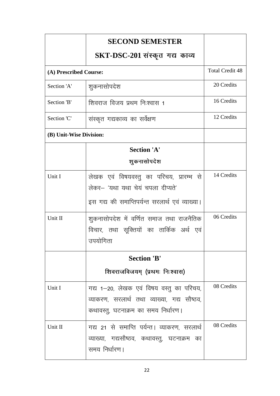|                         | <b>SECOND SEMESTER</b>                                                                                                           |                        |
|-------------------------|----------------------------------------------------------------------------------------------------------------------------------|------------------------|
|                         | SKT-DSC-201 संस्कृत गद्य काव्य                                                                                                   |                        |
| (A) Prescribed Course:  |                                                                                                                                  | <b>Total Credit 48</b> |
| Section 'A'             | शुकनासोपदेश                                                                                                                      | 20 Credits             |
| Section 'B'             | शिवराज विजय प्रथम निःश्वास 1                                                                                                     | 16 Credits             |
| Section 'C'             | संस्कृत गद्यकाव्य का सर्वेक्षण                                                                                                   | 12 Credits             |
| (B) Unit-Wise Division: |                                                                                                                                  |                        |
|                         | <b>Section 'A'</b>                                                                                                               |                        |
|                         | शुकनासोपदेश                                                                                                                      |                        |
| Unit I                  | लेखक एवं विषयवस्तु का परिचय, प्रारम्भ से<br>लेकर- 'यथा यथा चेयं चपला दीप्यते'<br>इस गद्य की समाप्तिपर्यन्त सरलार्थ एवं व्याख्या। | 14 Credits             |
| Unit II                 | शुकनासोपदेश में वर्णित समाज तथा राजनैतिक<br>विचार, तथा सूक्तियों का तार्किक अर्थ एवं<br>उपयोगिता                                 | 06 Credits             |
|                         | <b>Section 'B'</b>                                                                                                               |                        |
|                         | शिवराजविजयम् (प्रथमः निःश्वास)                                                                                                   |                        |
| Unit I                  | गद्य 1-20, लेखक एवं विषय वस्तु का परिचय,<br>व्याकरण, सरलार्थ तथा व्याख्या, गद्य सौष्ठव,<br>कथावस्तु, घटनाक्रम का समय निर्धारण।   | 08 Credits             |
| Unit II                 | गद्य 21 से समाप्ति पर्यन्त। व्याकरण, सरलार्थ<br>व्याख्या, गद्यसौष्ठव, कथावस्तु, घटनाक्रम का<br>समय निर्धारण।                     | 08 Credits             |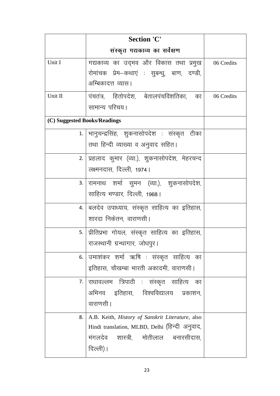|                              | <b>Section 'C'</b>                                |            |
|------------------------------|---------------------------------------------------|------------|
|                              | संस्कृत गद्यकाव्य का सर्वेक्षण                    |            |
| Unit I                       | गद्यकाव्य का उद्भव और विकास तथा प्रमुख            | 06 Credits |
|                              | रोमांचक प्रेम-कथाएं : सुबन्धु, बाण, दण्डी,        |            |
|                              | अम्बिकादत्त व्यास।                                |            |
| Unit II                      | पंचतंत्र, हितोपदेश, बेतालपंचविंशतिका, का          | 06 Credits |
|                              | सामान्य परिचय।                                    |            |
| (C) Suggested Books/Readings |                                                   |            |
|                              | 1.   भानुचन्द्रसिंह, शुकनासोपदेश : संस्कृत टीका   |            |
|                              | तथा हिन्दी व्याख्या व अनुवाद सहित।                |            |
|                              | 2.   प्रहलाद कुमार (व्या.), शुकनासोपदेश, मेहरचन्द |            |
|                              | लक्ष्मनदास, दिल्ली, 1974।                         |            |
|                              | 3. रामनाथ शर्मा सुमन (व्या.), शुकनासोपदेश,        |            |
|                              | साहित्य भण्डार, दिल्ली, 1968।                     |            |
|                              | 4.   बलदेव उपाध्याय, संस्कृत साहित्य का इतिहास,   |            |
|                              | शारदा निकेतन, वाराणसी                             |            |
|                              | 5.  प्रीतिप्रभा गोयल, संस्कृत साहित्य का इतिहास,  |            |
|                              | राजस्थानी ग्रन्थागार, जोधपुर।                     |            |
| 6.                           | उमाशंकर शर्मा ऋषि : संस्कृत साहित्य का            |            |
|                              | इतिहास, चौखम्बा भारती अकादमी, वाराणसी।            |            |
| 7.1                          | राधावल्लभ त्रिपाठी : संस्कृत साहित्य का           |            |
|                              | अभिनव इतिहास, विश्वविद्यालय प्रकाशन,              |            |
|                              | वाराणसी ।                                         |            |
| 8.                           | A.B. Keith, History of Sanskrit Literature, also  |            |
|                              | Hindi translation, MLBD, Delhi (हिन्दी अनुवाद,    |            |
|                              | मंगलदेव शास्त्री, मोतीलाल बनारसीदास,              |            |
|                              | दिल्ली)।                                          |            |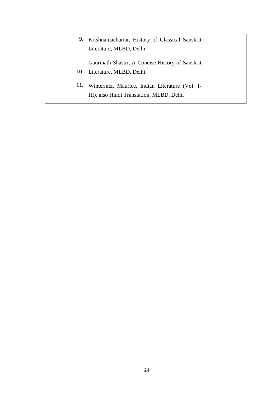| 9.  | Krishnamachariar, History of Classical Sanskrit<br>Literature, MLBD, Delhi.                  |  |
|-----|----------------------------------------------------------------------------------------------|--|
| 10. | Gaurinath Shastri, A Concise History of Sanskrit<br>Literature, MLBD, Delhi.                 |  |
| 11. | Winternitz, Maurice, Indian Literature (Vol. I-<br>III), also Hindi Translation, MLBD, Delhi |  |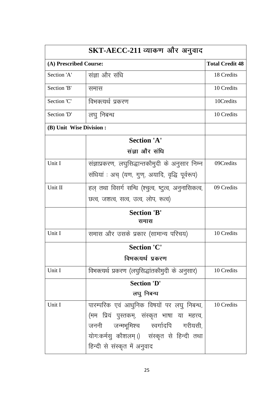|                          | SKT-AECC-211 व्याकण और अनुवाद                        |                        |
|--------------------------|------------------------------------------------------|------------------------|
| (A) Prescribed Course:   |                                                      | <b>Total Credit 48</b> |
| Section 'A'              | संज्ञा और संधि                                       | 18 Credits             |
| Section 'B'              | समास                                                 | 10 Credits             |
| Section 'C'              | विभक्त्यर्थ प्रकरण                                   | 10Credits              |
| Section 'D'              | लघु निबन्ध                                           | 10 Credits             |
| (B) Unit Wise Division : |                                                      |                        |
|                          | <b>Section 'A'</b>                                   |                        |
|                          | संज्ञा और संधि                                       |                        |
| Unit I                   | संज्ञाप्रकरण, लघुसिद्धान्तकौमुदी के अनुसार निम्न     | 09Credits              |
|                          | संधियां : अच् (यण, गुण्, अयादि, वृद्धि पूर्वरूप)     |                        |
| Unit II                  | हल् तथा विसर्ग सन्धि (श्चुत्व, ष्टुत्व, अनुनासिकत्व, | 09 Credits             |
|                          | छत्व, जशत्व, सत्व, उत्व, लोप, रूत्व)                 |                        |
|                          | <b>Section 'B'</b><br>समास                           |                        |
| Unit I                   | समास और उसके प्रकार (सामान्य परिचय)                  | 10 Credits             |
|                          | <b>Section 'C'</b>                                   |                        |
|                          | विभक्त्यर्थ प्रकरण                                   |                        |
| Unit I                   | विभक्त्यर्थ प्रकरण (लघुसिद्धांतकौमुदी के अनुसार)     | 10 Credits             |
|                          | <b>Section 'D'</b>                                   |                        |
|                          | लघु निबन्ध                                           |                        |
| Unit I                   | पारम्परिक एवं आधुनिक विषयों पर लघु निबन्ध,           | 10 Credits             |
|                          | (मम प्रियं पुस्तकम्, संस्कृत भाषा या महत्त्व,        |                        |
|                          | जननी जन्मभूमिश्च स्वर्गादपि गरीयसी,                  |                        |
|                          | योगःकर्मसु कौशलम्।) संस्कृत से हिन्दी तथा            |                        |
|                          | हिन्दी से संस्कृत में अनुवाद                         |                        |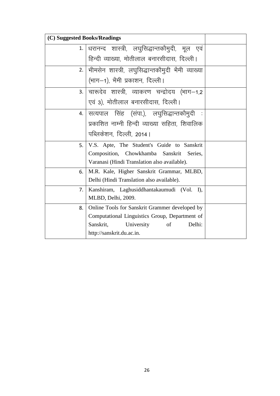| (C) Suggested Books/Readings |                                                       |  |
|------------------------------|-------------------------------------------------------|--|
|                              | 1. धरानन्द शास्त्री, लघुसिद्धान्तकौमुदी, मूल एवं      |  |
|                              | हिन्दी व्याख्या, मोतीलाल बनारसीदास, दिल्ली।           |  |
|                              | 2.  भीमसेन शास्त्री, लघुसिद्धान्तकौमुदी भैमी व्याख्या |  |
|                              | (भाग-1), भैमी प्रकाशन, दिल्ली।                        |  |
|                              | 3. चारूदेव शास्त्री, व्याकरण चन्द्रोदय (भाग—1,2       |  |
|                              | एवं 3), मोतीलाल बनारसीदास, दिल्ली।                    |  |
|                              | 4  सत्यपाल सिंह (संपा.), लघुसिद्धान्तकौमुदी :         |  |
|                              | प्रकाशित नाम्नी हिन्दी व्याख्या सहिता, शिवालिक        |  |
|                              | पब्लिकेशन, दिल्ली, 2014।                              |  |
| 5. I                         | V.S. Apte, The Student's Guide to Sanskrit            |  |
|                              | Composition, Chowkhamba Sanskrit Series,              |  |
|                              | Varanasi (Hindi Translation also available).          |  |
| 6.                           | M.R. Kale, Higher Sanskrit Grammar, MLBD,             |  |
|                              | Delhi (Hindi Translation also available).             |  |
| 7.                           | Kanshiram, Laghusiddhantakaumudi (Vol. I),            |  |
|                              | MLBD, Delhi, 2009.                                    |  |
| 8.                           | Online Tools for Sanskrit Grammer developed by        |  |
|                              | Computational Linguistics Group, Department of        |  |
|                              | Delhi:<br>Sanskrit,<br>University<br>of               |  |
|                              | http://sanskrit.du.ac.in.                             |  |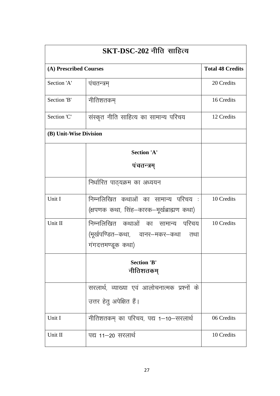| $SKT\text{-}DSC\text{-}202$ नीति साहित्य |                                                                                               |                         |
|------------------------------------------|-----------------------------------------------------------------------------------------------|-------------------------|
| (A) Prescribed Courses                   |                                                                                               | <b>Total 48 Credits</b> |
| Section 'A'                              | पंचतन्त्रम्                                                                                   | 20 Credits              |
| Section 'B'                              | नीतिशतकम्                                                                                     | 16 Credits              |
| Section 'C'                              | संस्कृत नीति साहित्य का सामान्य परिचय                                                         | 12 Credits              |
| (B) Unit-Wise Division                   |                                                                                               |                         |
|                                          | <b>Section 'A'</b>                                                                            |                         |
|                                          | पंचतन्त्रम्                                                                                   |                         |
|                                          | निर्धारित पाठ्यक्रम का अध्ययन                                                                 |                         |
| Unit I                                   | निम्नलिखित कथाओं का सामान्य परिचय :।<br>(क्षपणक कथा, सिंह–कारक–मूर्खब्राह्मण कथा)             | 10 Credits              |
| Unit II                                  | निम्नलिखित कथाओं का सामान्य परिचय<br>(मूर्खपण्डित–कथा, वानर–मकर–कथा तथा<br>गंगदत्तमण्डूक कथा) | 10 Credits              |
|                                          | <b>Section 'B'</b><br>नीतिशतकम्                                                               |                         |
|                                          | सरलार्थ, व्याख्या एवं आलोचनात्मक प्रश्नों के                                                  |                         |
|                                          | उत्तर हेतु अपेक्षित हैं।                                                                      |                         |
| Unit I                                   | नीतिशतकम् का परिचय, पद्य 1–10–सरलार्थ                                                         | 06 Credits              |
| Unit II                                  | पद्य 11–20 सरलार्थ                                                                            | 10 Credits              |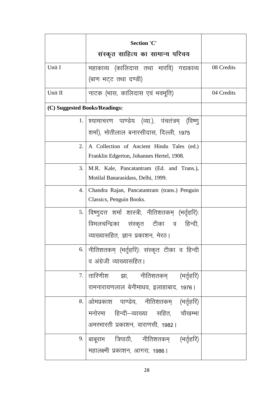|                               | <b>Section 'C'</b>                                                              |            |
|-------------------------------|---------------------------------------------------------------------------------|------------|
|                               | संस्कृत साहित्य का सामान्य परिचय                                                |            |
| Unit I                        | महाकाव्य (कालिदास तथा भारवि) गद्यकाव्य                                          | 08 Credits |
|                               | (बाण भट्ट तथा दण्डी)                                                            |            |
| Unit II                       | नाटक (भास, कालिदास एवं भवभूति)                                                  | 04 Credits |
| (C) Suggested Books/Readings: |                                                                                 |            |
|                               | 1. श्यामाचरण पाण्डेय (व्या.), पंचतंत्रम् (विष्णु                                |            |
|                               | शर्मा), मोतीलाल बनारसीदास, दिल्ली, 1975                                         |            |
| 2.                            | A Collection of Ancient Hindu Tales (ed.)                                       |            |
|                               | Franklin Edgerton, Johannes Hertel, 1908.                                       |            |
| 3.                            | M.R. Kale, Pancatantram (Ed. and Trans.),<br>Motilal Banarasidass, Delhi, 1999. |            |
| 4.                            |                                                                                 |            |
|                               | Chandra Rajan, Pancatantram (trans.) Penguin<br>Classics, Penguin Books.        |            |
|                               | 5.   विष्णुदत्त  शर्मा  शास्त्री,  नीतिशतकम्  (भर्तृहरि):                       |            |
|                               | विमलचन्द्रिका संस्कृत टीका व हिन्दी,                                            |            |
|                               | व्याख्यासहित, ज्ञान प्रकाशन, मेरठ।                                              |            |
|                               | 6.   नीतिशतकम्  (भर्तृहरि):  संस्कृत  टीका  व  हिन्दी                           |            |
|                               | व अंग्रेजी व्याख्यासहित।                                                        |            |
| 7.                            | तारिणीश झा, नीतिशतकम् (भर्तृहरि)                                                |            |
|                               | रामनारायणलाल बेनीमाधव, इलाहाबाद, 1976।                                          |            |
| 8.                            | ओमप्रकाश पाण्डेय, नीतिशतकम् (भर्तृहरि)                                          |            |
|                               | मनोरमा हिन्दी–व्याख्या सहित, चौखम्भा                                            |            |
|                               | अमरभारती प्रकाशन, वाराणसी, 1982                                                 |            |
|                               | 9.   बाबूराम     त्रिपाठी,      नीतिशतकम्       (भर्तृहरि)                      |            |
|                               | महालक्ष्मी प्रकाशन, आगरा, 1986।                                                 |            |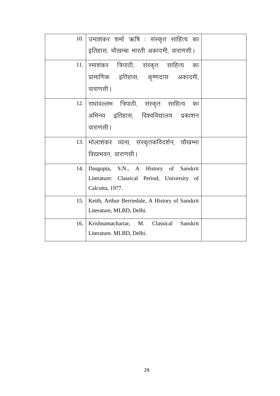|     | 10. उमाशंकर शर्मा ऋषि : संस्कृत साहित्य का      |  |
|-----|-------------------------------------------------|--|
|     | इतिहास, चौखम्बा भारती अकादमी, वाराणसी।          |  |
| 11. | रमाशंकर त्रिपाठी, संस्कृत साहित्य का            |  |
|     | प्रामाणिक इतिहास, कृष्णदास अकादमी,              |  |
|     | वाराणसी ।                                       |  |
|     | 12. राधावल्लभ त्रिपाठी, संस्कृत साहित्य का      |  |
|     | अभिनव इतिहास, विश्वविद्यालय प्रकाशन             |  |
|     | वाराणसी ।                                       |  |
|     | 13. भोलाशंकर व्यास, संस्कृतकविदर्शन, चौखम्भा    |  |
|     | विद्याभवन, वाराणसी ।                            |  |
| 14. | Dasgupta, S.N., A History of Sanskrit           |  |
|     | Literature: Classical Period, University of     |  |
|     | Calcutta, 1977.                                 |  |
| 15. | Keith, Arthur Berriedale, A History of Sanskrit |  |
|     | Literature, MLBD, Delhi.                        |  |
| 16. | Krishnamachariar, M. Classical<br>Sanskrit      |  |
|     | Literature. MLBD, Delhi.                        |  |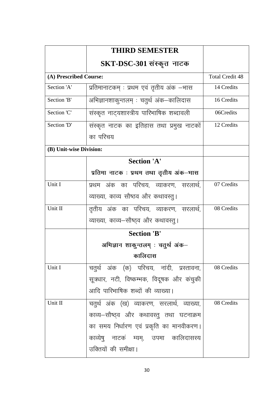|                         | <b>THIRD SEMESTER</b>                      |                        |
|-------------------------|--------------------------------------------|------------------------|
|                         | SKT-DSC-301 संस्कृत नाटक                   |                        |
| (A) Prescribed Course:  |                                            | <b>Total Credit 48</b> |
| Section 'A'             | प्रतिमानाटकम् : प्रथम एवं तृतीय अंक –भास   | 14 Credits             |
| Section 'B'             | अभिज्ञानशाकुन्तलम् : चतुर्थ अंक–कालिदास    | 16 Credits             |
| Section 'C'             | संस्कृत नाट्यशास्त्रीय पारिभाषिक शब्दावली  | 06Credits              |
| Section 'D'             | संस्कृत नाटक का इतिहास तथा प्रमुख नाटकों   | 12 Credits             |
|                         | का परिचय                                   |                        |
| (B) Unit-wise Division: |                                            |                        |
|                         | <b>Section 'A'</b>                         |                        |
|                         | प्रतिमा नाटक : प्रथम तथा तृतीय अंक–भास     |                        |
| Unit I                  | प्रथम अंक का परिचय, व्याकरण, सरलार्थ,      | 07 Credits             |
|                         | व्याख्या, काव्य सौष्ठव और कथावस्तु।        |                        |
| Unit II                 | तृतीय अंक का परिचय, व्याकरण, सरलार्थ,      | 08 Credits             |
|                         | व्याख्या, काव्य–सौष्ठ्व और कथावस्तु।       |                        |
|                         | <b>Section 'B'</b>                         |                        |
|                         | अभिज्ञान शाकुन्तलम् : चतुर्थ अंक–          |                        |
|                         | कालिदास                                    |                        |
| Unit I                  | चतुर्थ अंक (क) परिचय, नांदी, प्रस्तावना,   | 08 Credits             |
|                         | सूत्रधार, नटी, विष्कम्भक, विदूषक और कंचुकी |                        |
|                         | आदि पारिभाषिक शब्दों की व्याख्या।          |                        |
| Unit II                 | चतुर्थ अंक (ख) व्याकरण, सरलार्थ, व्याख्या, | 08 Credits             |
|                         | काव्य—सौष्ठ्व और कथावस्तु तथा घटनाक्रम     |                        |
|                         | का समय निर्धारण एवं प्रकृति का मानवीकरण।   |                        |
|                         | काव्येषु नाटकं म्यम्, उपमा कालिदासस्य      |                        |
|                         | उक्तियों की समीक्षा।                       |                        |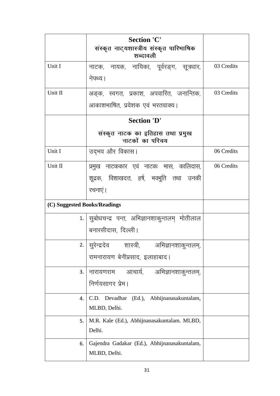|                              | <b>Section 'C'</b>                                              |            |
|------------------------------|-----------------------------------------------------------------|------------|
|                              | संस्कृत नाट्यशास्त्रीय संस्कृत पारिभाषिक<br>शब्दावली            |            |
| Unit I                       | नाटक, नायक, नायिका, पूर्वरङ्ग, सूत्रधार,                        | 03 Credits |
|                              | नेपथ्य।                                                         |            |
| Unit II                      | अङ्क, स्वगत, प्रकाश, अपवारित, जनान्तिक,                         | 03 Credits |
|                              | आकाशभाषित, प्रवेशक एवं भरतवाक्य।                                |            |
|                              | <b>Section 'D'</b>                                              |            |
|                              | संस्कृत नाटक का इतिहास तथा प्रमुख<br>नाटकों का परिचय            |            |
| Unit I                       | उद्भव और विकास।                                                 | 06 Credits |
| Unit II                      | प्रमुख नाटककार एवं नाटकः भास, कालिदास,                          | 06 Credits |
|                              | शूद्रक, विशाखदत्त, हर्ष, भवभूति तथा उनकी                        |            |
|                              | रचनाएं।                                                         |            |
| (C) Suggested Books/Readings |                                                                 |            |
|                              | 1. सूबोधचन्द्र पन्त, अभिज्ञानशाकुन्तलम् मोतीलाल                 |            |
|                              | बनारसीदास, दिल्ली।                                              |            |
|                              | 2.   सुरेन्द्रदेव         शास्त्री,         अभिज्ञानशाकुन्तलम्, |            |
|                              | रामनारायण बेनीप्रसाद, इलाहाबाद।                                 |            |
| 3.                           | आचार्य, अभिज्ञानशाकुन्तलम्,<br>नारायणराम                        |            |
|                              | निर्णयसागर प्रेम।                                               |            |
| 4.                           | C.D. Devadhar (Ed.), Abhijnanasakuntalam,                       |            |
|                              | MLBD, Delhi.                                                    |            |
| 5.                           | M.R. Kale (Ed.), Abhijnanasakuntalam. MLBD,                     |            |
|                              | Delhi.                                                          |            |
| 6.                           | Gajendra Gadakar (Ed.), Abhijnanasakuntalam,                    |            |
|                              | MLBD, Delhi.                                                    |            |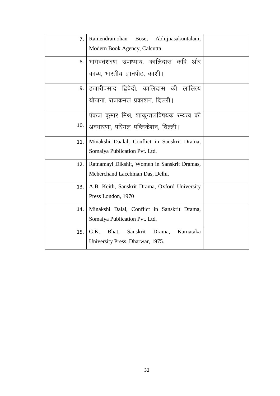| 7 <sub>1</sub> | Ramendramohan Bose, Abhijnasakuntalam,<br>Modern Book Agency, Calcutta.              |  |
|----------------|--------------------------------------------------------------------------------------|--|
| 8.             | भागवतशरण उपाध्याय, कालिदास कवि और<br>काव्य, भारतीय ज्ञानपीठ, काशी।                   |  |
|                | 9. हजारीप्रसाद द्विवेदी, कालिदास की लालित्य<br>योजना, राजकमल प्रकाशन, दिल्ली।        |  |
| 10.            | पंकज कुमार मिश्र, शाकुन्तलविषयक रम्यत्व की<br>अवधारणा, परिमल पब्लिकेशन, दिल्ली।      |  |
| 11.            | Minakshi Daalal, Conflict in Sanskrit Drama,<br>Somaiya Publication Pvt. Ltd.        |  |
| 12.            | Ratnamayi Dikshit, Women in Sanskrit Dramas,<br>Meherchand Lacchman Das, Delhi.      |  |
| 13.            | A.B. Keith, Sanskrit Drama, Oxford University<br>Press London, 1970                  |  |
| 14.            | Minakshi Dalal, Conflict in Sanskrit Drama,<br>Somaiya Publication Pvt. Ltd.         |  |
| 15.            | G.K.<br>Sanskrit<br>Karnataka<br>Bhat,<br>Drama,<br>University Press, Dharwar, 1975. |  |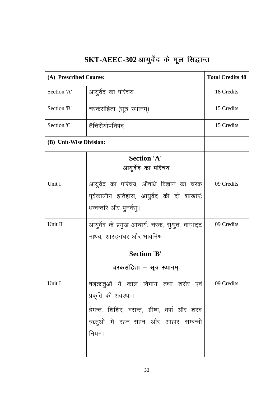| SKT-AEEC-302 आयुर्वेद के मूल सिद्धान्त |                                                                                                                                                         |                         |
|----------------------------------------|---------------------------------------------------------------------------------------------------------------------------------------------------------|-------------------------|
| (A) Prescribed Course:                 |                                                                                                                                                         | <b>Total Credits 48</b> |
| Section 'A'                            | आयुर्वेद का परिचय                                                                                                                                       | 18 Credits              |
| Section 'B'                            | चरकसंहिता (सूत्र स्थानम्)                                                                                                                               | 15 Credits              |
| Section 'C'                            | तैत्तिरीयोपनिषद्                                                                                                                                        | 15 Credits              |
| (B) Unit-Wise Division:                |                                                                                                                                                         |                         |
|                                        | <b>Section 'A'</b><br>आयुर्वेद का परिचय                                                                                                                 |                         |
| Unit I                                 | आयुर्वेद का परिचय, औषधि विज्ञान का चरक<br>पूर्वकालीन इतिहास, आयुर्वेद की दो शाखाएं:<br>धन्वन्तरि और पुनर्वसु।                                           | 09 Credits              |
| Unit II                                | आयुर्वेद के प्रमुख आचार्यः चरक, सुश्रुत, वाग्भट्ट<br>माधव, शारङ्गधर और भावमिश्र।                                                                        | 09 Credits              |
|                                        | <b>Section 'B'</b>                                                                                                                                      |                         |
|                                        | चरकसंहिता – सूत्र स्थानम्                                                                                                                               |                         |
| Unit I                                 | षड्ऋतुओं में काल विभाग तथा शरीर एवं<br>प्रकृति की अवस्था।<br>हेमन्त, शिशिर, वसन्त, ग्रीष्म, वर्षा और शरद<br>ऋतुओं में रहन–सहन और आहार सम्बन्धी<br>नियम। | 09 Credits              |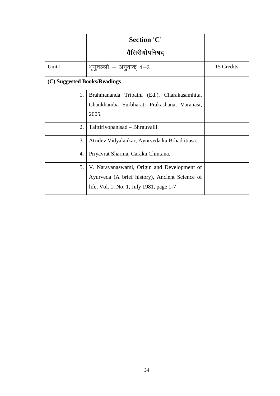|                              | <b>Section 'C'</b>                             |            |
|------------------------------|------------------------------------------------|------------|
|                              | तैत्तिरीयोपनिषद्                               |            |
| Unit I                       | भूगुवल्ली – अनुवाक् 1–3                        | 15 Credits |
| (C) Suggested Books/Readings |                                                |            |
| 1.                           | Brahmananda Tripathi (Ed.), Charakasamhita,    |            |
|                              | Chaukhamba Surbharati Prakashana, Varanasi,    |            |
|                              | 2005.                                          |            |
| 2.                           | Taittiriyopanisad – Bhrguvalli.                |            |
| 3.                           | Atridev Vidyalankar, Ayurveda ka Brhad itiasa. |            |
| 4.                           | Priyavrat Sharma, Caraka Chintana.             |            |
| 5.                           | V. Narayanaswami, Origin and Development of    |            |
|                              | Ayurveda (A brief history), Ancient Science of |            |
|                              | life, Vol. 1, No. 1, July 1981, page 1-7       |            |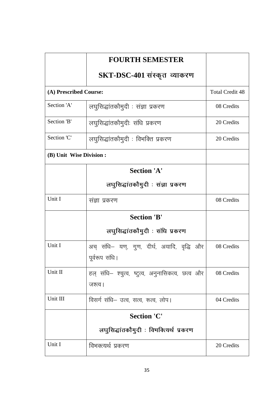|                         | <b>FOURTH SEMESTER</b>                                        |                        |
|-------------------------|---------------------------------------------------------------|------------------------|
|                         | SKT-DSC-401 संस्कृत व्याकरण                                   |                        |
| (A) Prescribed Course:  |                                                               | <b>Total Credit 48</b> |
| Section 'A'             | लघुसिद्धांतकौमुदी : संज्ञा प्रकरण                             | 08 Credits             |
| Section 'B'             | लघुसिद्धांतकौमुदीः संधि प्रकरण                                | 20 Credits             |
| Section 'C'             | लघुसिद्धांतकौमुदी : विभक्ति प्रकरण                            | 20 Credits             |
| (B) Unit Wise Division: |                                                               |                        |
|                         | <b>Section 'A'</b>                                            |                        |
|                         | लघुसिद्धांतकौमुदी : संज्ञा प्रकरण                             |                        |
| Unit I                  | संज्ञा प्रकरण                                                 | 08 Credits             |
|                         | <b>Section 'B'</b>                                            |                        |
|                         | लघुसिद्धांतकौमुदी : संधि प्रकरण                               |                        |
| Unit I                  | अच् संधि– यण्, गुण, दीर्घ, अयादि, वृद्धि और<br>पूर्वरूप संधि। | 08 Credits             |
| Unit II                 | हल् संधि– श्चुत्व, ष्टुत्व, अनुनासिकत्व, छत्व और<br>जश्त्व।   | 08 Credits             |
| Unit III                | विसर्ग संधि– उत्व, सत्व, रूत्व, लोप।                          | 04 Credits             |
|                         | <b>Section 'C'</b>                                            |                        |
|                         | लघुसिद्धांतकौमुदी : विभक्त्यिर्थ प्रकरण                       |                        |
| Unit I                  | विभक्त्यर्थ प्रकरण                                            | 20 Credits             |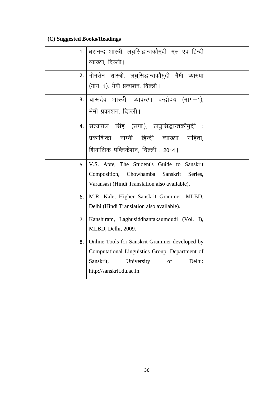| (C) Suggested Books/Readings |                                                                                                                                                                          |  |
|------------------------------|--------------------------------------------------------------------------------------------------------------------------------------------------------------------------|--|
| 1.                           | धरानन्द शास्त्री, लघुसिद्धान्तकौमुदी, मूल एवं हिन्दी<br>व्याख्या, दिल्ली।                                                                                                |  |
|                              | 2. भीमसेन शास्त्री, लघुसिद्धान्तकौमुदी भैमी व्याख्या<br>(भाग—1), भैमी प्रकाशन, दिल्ली।                                                                                   |  |
|                              | 3. चारूदेव शास्त्री, व्याकरण चन्द्रोदय (भाग–1),<br>भैमी प्रकाशन, दिल्ली।                                                                                                 |  |
| 4.                           | सत्यपाल सिंह (संपा.), लघुसिद्धान्तकौमुदी<br>प्रकाशिका नाम्नी हिन्दी व्याख्या सहिता,<br>शिवालिक पब्लिकेशन, दिल्ली : 2014 ।                                                |  |
| 5.                           | V.S. Apte, The Student's Guide to Sanskrit<br>Composition, Chowhamba Sanskrit<br>Series,<br>Varansasi (Hindi Translation also available).                                |  |
| 6.                           | M.R. Kale, Higher Sanskrit Grammer, MLBD,<br>Delhi (Hindi Translation also available).                                                                                   |  |
| 7.                           | Kanshiram, Laghusiddhantakaumdudi (Vol. I),<br>MLBD, Delhi, 2009.                                                                                                        |  |
| 8.                           | Online Tools for Sanskrit Grammer developed by<br>Computational Linguistics Group, Department of<br>University<br>of<br>Delhi:<br>Sanskrit,<br>http://sanskrit.du.ac.in. |  |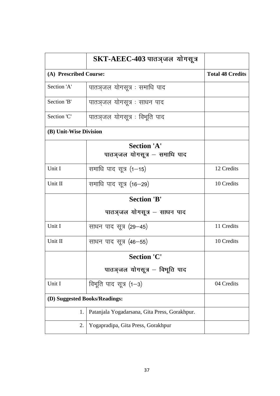|                               | SKT-AEEC-403 पातञ् <b>जल</b> योगसूत्र              |                         |
|-------------------------------|----------------------------------------------------|-------------------------|
| (A) Prescribed Course:        |                                                    | <b>Total 48 Credits</b> |
| Section 'A'                   | पातञ्जल योगसूत्र : समाधि पाद                       |                         |
| Section 'B'                   | पातञ्जल योगसूत्र : साधन पाद                        |                         |
| Section 'C'                   | पातञ्जल योगसूत्र : विभूति पाद                      |                         |
| (B) Unit-Wise Division        |                                                    |                         |
|                               | <b>Section 'A'</b><br>पातञ्जल योगसूत्र - समाधि पाद |                         |
| Unit I                        | समाधि पाद सूत्र (1–15)                             | 12 Credits              |
| Unit II                       | समाधि पाद सूत्र (16–29)                            | 10 Credits              |
|                               | <b>Section 'B'</b>                                 |                         |
|                               | पातञ्जल योगसूत्र – साधन पाद                        |                         |
| Unit I                        | साधन पाद सूत्र (29–45)                             | 11 Credits              |
| Unit II                       | साधन पाद सूत्र (46–55)                             | 10 Credits              |
|                               | <b>Section 'C'</b>                                 |                         |
|                               | पातञ्जल योगसूत्र – विभूति पाद                      |                         |
| Unit I                        | विभूति पाद सूत्र (1—3)                             | 04 Credits              |
| (D) Suggested Books/Readings: |                                                    |                         |
| 1.                            | Patanjala Yogadarsana, Gita Press, Gorakhpur.      |                         |
| 2.                            | Yogapradipa, Gita Press, Gorakhpur                 |                         |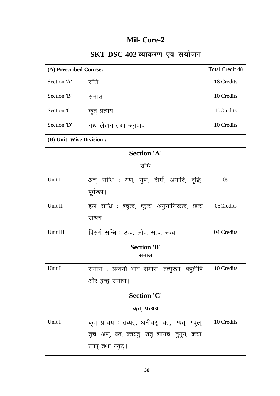| Mil- Core-2                    |                                                    |                        |
|--------------------------------|----------------------------------------------------|------------------------|
| SKT-DSC-402 व्याकरण एवं संयोजन |                                                    |                        |
| (A) Prescribed Course:         |                                                    | <b>Total Credit 48</b> |
| Section 'A'                    | संधि                                               | 18 Credits             |
| Section 'B'                    | समास                                               | 10 Credits             |
| Section 'C'                    | कृत् प्रत्यय                                       | 10Credits              |
| Section 'D'                    | गद्य लेखन तथा अनुवाद                               | 10 Credits             |
| (B) Unit Wise Division :       |                                                    |                        |
|                                | <b>Section 'A'</b>                                 |                        |
|                                | संधि                                               |                        |
| Unit I                         | अच् सन्धि : यण्, गुण, दीर्घ, अयादि, वृद्धि,        | 09                     |
|                                | पूर्वरूप।                                          |                        |
| Unit II                        | हल सन्धि : श्चुत्व, ष्टुत्व, अनुनासिकत्व, छत्व     | 05Credits              |
|                                | जश्त्व।                                            |                        |
| Unit III                       | विसर्ग सन्धि : उत्व, लोप, सत्व, रूत्व              | 04 Credits             |
|                                | <b>Section 'B'</b><br>समास                         |                        |
| Unit I                         | समास : अव्ययी भाव समास, तत्पुरूष, बहुव्रीहि        | 10 Credits             |
|                                | और द्वन्द्व समास।                                  |                        |
|                                | <b>Section 'C'</b>                                 |                        |
|                                | कृत् प्रत्यय                                       |                        |
| Unit I                         | कृत् प्रत्यय : तव्यत्, अनीयर्, यत्, ण्यत्, ण्वुल्, | 10 Credits             |
|                                | तृच्, अण्, क्त, क्तवतु, शतृ शानच्, तुमुन्, क्त्वा, |                        |
|                                | ल्यप् तथा ल्युट्।                                  |                        |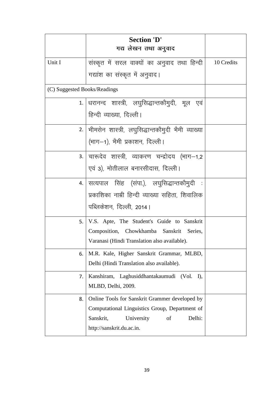|                              | <b>Section 'D'</b>                                                                     |            |
|------------------------------|----------------------------------------------------------------------------------------|------------|
|                              | गद्य लेखन तथा अनुवाद                                                                   |            |
| Unit I                       | संस्कृत में सरल वाक्यों का अनुवाद तथा हिन्दी                                           | 10 Credits |
|                              | गद्यांश का संस्कृत में अनुवाद।                                                         |            |
| (C) Suggested Books/Readings |                                                                                        |            |
|                              | 1.  धरानन्द शास्त्री, लघुसिद्धान्तकौमुदी, मूल एवं                                      |            |
|                              | हिन्दी व्याख्या, दिल्ली।                                                               |            |
|                              | 2.  भीमसेन शास्त्री, लघुसिद्धान्तकौमुदी भैमी व्याख्या                                  |            |
|                              | (भाग—1), भैमी प्रकाशन, दिल्ली।                                                         |            |
|                              | 3. चारूदेव शास्त्री, व्याकरण चन्द्रोदय (भाग—1,2                                        |            |
|                              | एवं 3), मोतीलाल बनारसीदास, दिल्ली।                                                     |            |
|                              | 4. सत्यपाल सिंह (संपा.), लघुसिद्धान्तकौमुदी :                                          |            |
|                              | प्रकाशिका नाम्री हिन्दी व्याख्या सहिता, शिवालिक                                        |            |
|                              | पब्लिकेशन, दिल्ली, 2014।                                                               |            |
| 5.                           | V.S. Apte, The Student's Guide to Sanskrit                                             |            |
|                              | Composition, Chowkhamba Sanskrit Series,                                               |            |
|                              | Varanasi (Hindi Translation also available).                                           |            |
| 6.                           | M.R. Kale, Higher Sanskrit Grammar, MLBD,<br>Delhi (Hindi Translation also available). |            |
|                              |                                                                                        |            |
| 7.                           | Kanshiram, Laghusiddhantakaumudi (Vol. I),<br>MLBD, Delhi, 2009.                       |            |
| 8.                           | Online Tools for Sanskrit Grammer developed by                                         |            |
|                              | Computational Linguistics Group, Department of                                         |            |
|                              | Delhi:<br>Sanskrit,<br>University<br>of                                                |            |
|                              | http://sanskrit.du.ac.in.                                                              |            |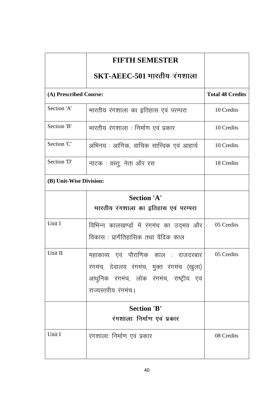|                         | <b>FIFTH SEMESTER</b>                      |                         |
|-------------------------|--------------------------------------------|-------------------------|
|                         | $SKT-AEEC-501$ भारतीय रंगशाला              |                         |
| (A) Prescribed Course:  |                                            | <b>Total 48 Credits</b> |
| Section 'A'             | भारतीय रंगशाला का इतिहास एवं परम्परा       | 10 Credits              |
| Section 'B'             | भारतीय रंगशाला : निर्माण एवं प्रकार        | 10 Credits              |
| Section 'C'             | अभिनय : आंगिक, वाचिक सात्त्विक एवं आहार्य  | 10 Credits              |
| Section 'D'             | नाटक : वस्तु, नेता और रस                   | 18 Credits              |
| (B) Unit-Wise Division: |                                            |                         |
|                         | <b>Section 'A'</b>                         |                         |
|                         | भारतीय रंगशाला का इतिहास एवं परम्परा       |                         |
| Unit I                  | विभिन्न कालखण्डों में रंगमंच का उद्भव और   | 05 Credits              |
|                         | विकास : प्रागैतिहासिक तथा वैदिक काल        |                         |
| Unit II                 | महाकाव्य एवं पौराणिक काल : राजदरबार        | 05 Credits              |
|                         | रंगमंच, देवालय रंगमंच, मुक्त रंगमंच (खुला) |                         |
|                         | आधुनिक रंगमंच, लोक रंगमंच, राष्ट्रीय एवं   |                         |
|                         | राज्यस्तरीय रंगमंच।                        |                         |
|                         | <b>Section 'B'</b>                         |                         |
|                         | रंगशालाः निर्माण एवं प्रकार                |                         |
| Unit I                  | रंगशालाः निर्माण एवं प्रकार                | 08 Credits              |
|                         |                                            |                         |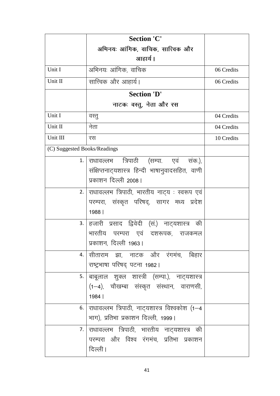|                              | <b>Section 'C'</b>                               |            |
|------------------------------|--------------------------------------------------|------------|
|                              | अभिनयः आंगिक, वाचिक, सात्त्विक और                |            |
|                              | आहार्य ।                                         |            |
| Unit I                       | अभिनयः आंगिक, वाचिक                              | 06 Credits |
| Unit II                      | सात्त्विक और आहार्य।                             | 06 Credits |
|                              | <b>Section 'D'</b>                               |            |
|                              | नाटकः वस्तु, नेता और रस                          |            |
| Unit I                       | वस्तु                                            | 04 Credits |
| Unit II                      | नेता                                             | 04 Credits |
| Unit III                     | रस                                               | 10 Credits |
| (C) Suggested Books/Readings |                                                  |            |
| 1.                           | राधावल्लभ त्रिपाठी (सम्पा. एवं संक.),            |            |
|                              | संक्षिप्तनाट्यशास्त्र हिन्दी भाषानुवादसहित, वाणी |            |
|                              | प्रकाशन दिल्ली 2008।                             |            |
| 2.1                          | राधावल्लभ त्रिपाठी, भारतीय नाट्य : स्वरूप एवं    |            |
|                              | परम्परा, संस्कृत परिषद्, सागर मध्य प्रदेश        |            |
|                              | 1988                                             |            |
| 3.                           | हजारी प्रसाद द्विवेदी (सं.) नाट्यशास्त्र की      |            |
|                              | भारतीय<br>परम्परा एवं दशरूपक, राजकमल             |            |
|                              | प्रकाशन, दिल्ली 1963।                            |            |
| 4.                           | सीताराम झा, नाटक और रंगमंच, बिहार                |            |
|                              | राष्ट्रभाषा परिषद् पटना 1982।                    |            |
|                              | 5. बाबूलाल शुक्ल शास्त्री (सम्पा.), नाट्यशास्त्र |            |
|                              | (1-4), चौखम्बा संस्कृत संस्थान, वाराणसी,         |            |
|                              | 1984                                             |            |
| 6.                           | राधावल्लभ त्रिपाठी, नाट्यशास्त्र विश्वकोश (1-4   |            |
|                              | भाग), प्रतिभा प्रकाशन दिल्ली, 1999।              |            |
| 7.                           | राधावल्लभ त्रिपाठी, भारतीय नाट्यशास्त्र की       |            |
|                              | परम्परा और विश्व रंगमंच, प्रतिभा प्रकाशन         |            |
|                              | दिल्ली।                                          |            |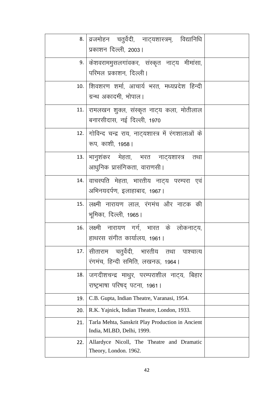| 8.  | व्रजमोहन चतुर्वेदी, नाट्यशास्त्रम्, विद्यानिधि                      |  |
|-----|---------------------------------------------------------------------|--|
|     | प्रकाशन दिल्ली, 2003।                                               |  |
|     | 9. किशवराममुसलगांवकर, संस्कृत नाट्य मीमांसा,                        |  |
|     | परिमल प्रकाशन, दिल्ली।                                              |  |
|     | 10. सिवशरण शर्मा, आचार्य भरत, मध्यप्रदेश हिन्दी                     |  |
|     | ग्रन्थ अकादमी, भोपाल।                                               |  |
|     | 11.   रामलखन शुक्ल, संस्कृत नाट्य कला, मोतीलाल                      |  |
|     | बनारसीदास, नई दिल्ली, 1970                                          |  |
| 12. | गोविन्द चन्द्र राय, नाट्यशास्त्र में रंगशालाओं के                   |  |
|     | रूप, काशी, 1958                                                     |  |
|     | 13.   भानुशंकर मेहता, भरत नाट्यशास्त्र तथा                          |  |
|     | आधुनिक प्रासंगिकता, वाराणसी ।                                       |  |
|     | 14.   वाचस्पति  मेहता,  भारतीय  नाट्य  परम्परा  एवं                 |  |
|     | अभिनयदर्पण, इलाहाबाद, 1967।                                         |  |
|     | 15. लक्ष्मी नारायण लाल, रंगमंच और नाटक की                           |  |
|     | भूमिका, दिल्ली, 1965।                                               |  |
|     | 16. लक्ष्मी नारायण गर्ग, भारत के लोकनाट्य,                          |  |
|     | हाथरस संगीत कार्यालय, 1961।                                         |  |
|     | 17. सीताराम चतुर्वेदी, भारतीय तथा<br>पाश्चात्य                      |  |
|     | रंगमंच, हिन्दी समिति, लखनऊ, 1964।                                   |  |
| 18. | जगदीशचन्द्र माथुर, परम्पराशील नाट्य, बिहार                          |  |
|     | राष्ट्रभाषा परिषद् पटना, 1961।                                      |  |
| 19. | C.B. Gupta, Indian Theatre, Varanasi, 1954.                         |  |
| 20. | R.K. Yajnick, Indian Theatre, London, 1933.                         |  |
| 21. | Tarla Mehta, Sanskrit Play Production in Ancient                    |  |
|     | India, MLBD, Delhi, 1999.                                           |  |
| 22. | Allardyce Nicoll, The Theatre and Dramatic<br>Theory, London. 1962. |  |
|     |                                                                     |  |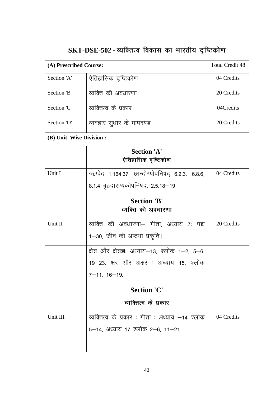| SKT-DSE-502 - व्यक्तित्व विकास का भारतीय दृष्टिकोण |                                                   |                        |  |
|----------------------------------------------------|---------------------------------------------------|------------------------|--|
| (A) Prescribed Course:                             |                                                   | <b>Total Credit 48</b> |  |
| Section 'A'                                        | ऐतिहासिक दृष्टिकोण                                | 04 Credits             |  |
| Section 'B'                                        | व्यक्ति की अवधारणा                                | 20 Credits             |  |
| Section 'C'                                        | व्यक्तित्व के प्रकार                              | 04Credits              |  |
| Section 'D'                                        | व्यवहार सुधार के मापदण्ड                          | 20 Credits             |  |
| (B) Unit Wise Division :                           |                                                   |                        |  |
|                                                    | <b>Section 'A'</b><br>ऐतिहासिक दृष्टिकोण          |                        |  |
| Unit I                                             | ऋग्वेद-1.164.37 छान्दोग्योपनिषद्-6.2.3, 6.8.6,    | 04 Credits             |  |
|                                                    | 8.1.4 बृहदारण्यकोपनिषद्, 2.5.18-19                |                        |  |
|                                                    | <b>Section 'B'</b>                                |                        |  |
|                                                    | व्यक्ति की अवधारणा                                |                        |  |
| Unit II                                            | व्यक्ति की अवधारणा– गीता, अध्याय ७: पद्य          | 20 Credits             |  |
|                                                    | 1–30, जीव की अष्टधा प्रकृति।                      |                        |  |
|                                                    | क्षेत्र और क्षेत्रज्ञः अध्याय–13, श्लोक 1–2, 5–6, |                        |  |
|                                                    | 19–23. क्षर और अक्षर : अध्याय 15, श्लोक           |                        |  |
|                                                    | $7 - 11, 16 - 19.$                                |                        |  |
|                                                    | <b>Section 'C'</b>                                |                        |  |
|                                                    | व्यक्तित्व के प्रकार                              |                        |  |
| Unit III                                           | व्यक्तित्व के प्रकार : गीता : अध्याय –14 श्लोक    | 04 Credits             |  |
|                                                    | 5–14, अध्याय 17 श्लोक 2–6, 11–21.                 |                        |  |
|                                                    |                                                   |                        |  |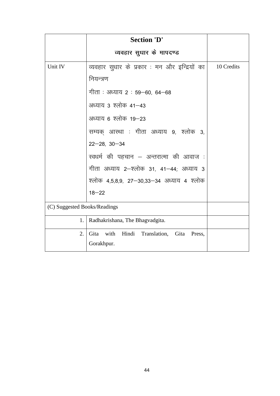|                              | <b>Section 'D'</b>                             |            |  |  |  |
|------------------------------|------------------------------------------------|------------|--|--|--|
|                              | व्यवहार सुधार के मापदण्ड                       |            |  |  |  |
| Unit IV                      | व्यवहार सुधार के प्रकार : मन और इन्द्रियों का  | 10 Credits |  |  |  |
|                              | नियन्त्रण                                      |            |  |  |  |
|                              | गीता : अध्याय २ : 59–60, 64–68                 |            |  |  |  |
|                              | अध्याय 3 श्लोक 41–43                           |            |  |  |  |
|                              | अध्याय 6 श्लोक 19–23                           |            |  |  |  |
|                              | सम्यक् आस्था : गीता अध्याय 9, श्लोक 3,         |            |  |  |  |
|                              | $22 - 28, 30 - 34$                             |            |  |  |  |
|                              | स्वधर्म की पहचान – अन्तरात्मा की आवाज :        |            |  |  |  |
|                              | गीता अध्याय 2–श्लोक 31, 41–44; अध्याय 3        |            |  |  |  |
|                              | श्लोक 4,5,8,9, 27—30,33—34 अध्याय 4 श्लोक      |            |  |  |  |
|                              | $18 - 22$                                      |            |  |  |  |
| (C) Suggested Books/Readings |                                                |            |  |  |  |
| 1.                           | Radhakrishana, The Bhagvadgita.                |            |  |  |  |
| $\overline{2}$ .             | Gita with Hindi Translation,<br>Gita<br>Press, |            |  |  |  |
|                              | Gorakhpur.                                     |            |  |  |  |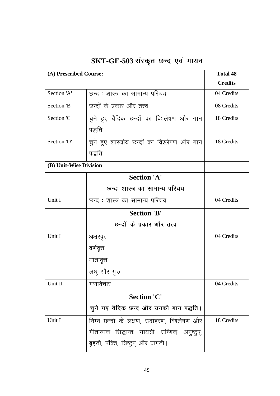|                        | SKT-GE-503 संस्कृत छन्द एवं गायन                 |                |  |  |
|------------------------|--------------------------------------------------|----------------|--|--|
| (A) Prescribed Course: | <b>Total 48</b>                                  |                |  |  |
|                        |                                                  | <b>Credits</b> |  |  |
| Section 'A'            | छन्द : शास्त्र का सामान्य परिचय                  | 04 Credits     |  |  |
| Section 'B'            | छन्दों के प्रकार और तत्त्व                       | 08 Credits     |  |  |
| Section 'C'            | चुने हुए वैदिक छन्दों का विश्लेषण और गान         | 18 Credits     |  |  |
|                        | पद्धति                                           |                |  |  |
| Section 'D'            | चुने हुए शास्त्रीय छन्दों का विश्लेषण और गान     | 18 Credits     |  |  |
|                        | पद्धति                                           |                |  |  |
| (B) Unit-Wise Division |                                                  |                |  |  |
|                        | <b>Section 'A'</b>                               |                |  |  |
|                        | छन्दः शास्त्र का सामान्य परिचय                   |                |  |  |
| Unit I                 | छन्द : शास्त्र का सामान्य परिचय                  | 04 Credits     |  |  |
|                        | <b>Section 'B'</b>                               |                |  |  |
|                        | छन्दों के प्रकार और तत्त्व                       |                |  |  |
| Unit I                 | अक्षरवृत्त                                       | 04 Credits     |  |  |
|                        | वर्णवृत्त                                        |                |  |  |
|                        | मात्रावृत्त                                      |                |  |  |
|                        | लघु और गुरु                                      |                |  |  |
| Unit II                | गणविचार                                          | 04 Credits     |  |  |
|                        | <b>Section 'C'</b>                               |                |  |  |
|                        | चुने गए वैदिक छन्द और उनकी गान पद्धति।           |                |  |  |
| Unit I                 | निम्न छन्दों के लक्षण, उदाहरण, विश्लेषण और       | 18 Credits     |  |  |
|                        | गीतात्मक सिद्धान्तः गायत्री, उष्णिक्, अनुष्टुप्, |                |  |  |
|                        | बृहती, पंक्ति, त्रिष्टुप् और जगती।               |                |  |  |
|                        |                                                  |                |  |  |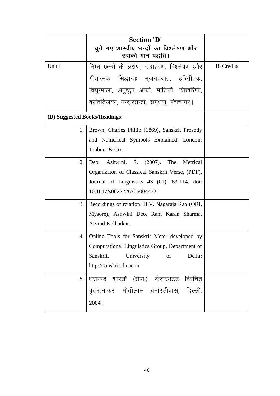|                               | <b>Section 'D'</b><br>चुने गए शास्त्रीय छन्दों का विश्लेषण और<br>उसकी गान पद्धति।              |            |
|-------------------------------|------------------------------------------------------------------------------------------------|------------|
| Unit I                        | निम्न छन्दों के लक्षण, उदाहरण, विश्लेषण और                                                     | 18 Credits |
|                               | गीतात्मक सिद्धान्तः भुजंगप्रयात, हरिगीतक,                                                      |            |
|                               | विद्युन्माला, अनुष्टुप आर्या, मालिनी, शिखरिणी,                                                 |            |
|                               | वसंततिलका, मन्दाक्रान्ता, स्रग्धरा, पंचचामर।                                                   |            |
| (D) Suggested Books/Readings: |                                                                                                |            |
| 1.                            | Brown, Charles Philip (1869), Sanskrit Prosody                                                 |            |
|                               | and Numerical Symbols Explained. London:                                                       |            |
|                               | Trubner & Co.                                                                                  |            |
| 2.                            | Ashwini, S. (2007). The<br>Deo,<br>Metrical                                                    |            |
|                               | Organizaton of Classical Sanskrit Verse, (PDF),                                                |            |
|                               | Journal of Linguistics $43$ (01): $63-114$ . doi:<br>10.1017/s0022226706004452.                |            |
|                               |                                                                                                |            |
| 3.                            | Recordings of reiation: H.V. Nagaraja Rao (ORI,                                                |            |
|                               | Mysore), Ashwini Deo, Ram Karan Sharma,<br>Arvind Kolhatkar.                                   |            |
|                               |                                                                                                |            |
| 4.                            | Online Tools for Sanskrit Meter developed by<br>Computational Linguistics Group, Department of |            |
|                               | University<br>of<br>Delhi:<br>Sanskrit,                                                        |            |
|                               | http://sanskrit.du.ac.in                                                                       |            |
|                               | 5. धरानन्द शास्त्री (संपा.), केदारभट्ट विरचित                                                  |            |
|                               | वृत्तरत्नाकर, मोतीलाल बनारसीदास, दिल्ली,                                                       |            |
|                               | 2004                                                                                           |            |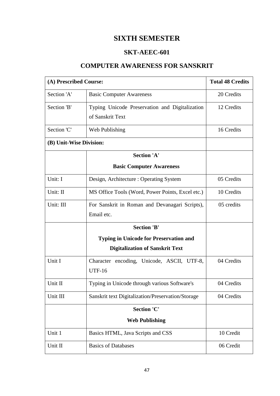## **SIXTH SEMESTER**

## **SKT-AEEC-601**

## **COMPUTER AWARENESS FOR SANSKRIT**

| (A) Prescribed Course:  |                                                   | <b>Total 48 Credits</b> |
|-------------------------|---------------------------------------------------|-------------------------|
| Section 'A'             | <b>Basic Computer Awareness</b>                   | 20 Credits              |
| Section 'B'             | Typing Unicode Preservation and Digitalization    | 12 Credits              |
|                         | of Sanskrit Text                                  |                         |
| Section 'C'             | Web Publishing                                    | 16 Credits              |
| (B) Unit-Wise Division: |                                                   |                         |
|                         | <b>Section 'A'</b>                                |                         |
|                         | <b>Basic Computer Awareness</b>                   |                         |
| Unit: I                 | Design, Architecture: Operating System            | 05 Credits              |
| Unit: II                | MS Office Tools (Word, Power Points, Excel etc.)  | 10 Credits              |
| Unit: III               | For Sanskrit in Roman and Devanagari Scripts),    | 05 credits              |
|                         | Email etc.                                        |                         |
|                         | <b>Section 'B'</b>                                |                         |
|                         |                                                   |                         |
|                         |                                                   |                         |
| Unit I                  | Character encoding, Unicode, ASCII, UTF-8,        | 04 Credits              |
|                         | <b>UTF-16</b>                                     |                         |
| Unit II                 | Typing in Unicode through various Software's      | 04 Credits              |
| Unit III                | Sanskrit text Digitalization/Preservation/Storage | 04 Credits              |
| <b>Section 'C'</b>      |                                                   |                         |
|                         |                                                   |                         |
| Unit 1                  | Basics HTML, Java Scripts and CSS                 | 10 Credit               |
| Unit II                 | <b>Basics of Databases</b>                        | 06 Credit               |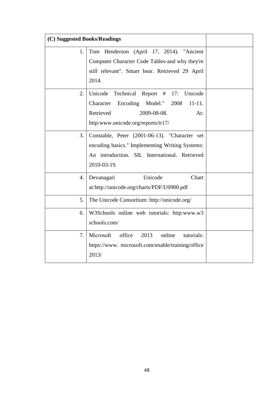| (C) Suggested Books/Readings |                                                                                                                                                                                       |  |
|------------------------------|---------------------------------------------------------------------------------------------------------------------------------------------------------------------------------------|--|
| 1.                           | Tom Henderson (April 17, 2014). "Ancient<br>Computer Character Code Tables-and why they're<br>still relevant". Smart bear. Retrieved 29 April<br>2014.                                |  |
| 2.                           | Unicode<br>Technical<br>Report #<br>Unicode<br>17:<br>Character<br>Encoding<br>Model."<br>2008<br>$11 - 11.$<br>Retrieved<br>2009-08-08.<br>At:<br>http:www.unicode.org/reports/tr17/ |  |
| 3.                           | Constable, Peter (2001-06-13). "Character set<br>encoding basics." Implementing Writing Systems:<br>An introduction. SIL International. Retrieved<br>2010-03-19.                      |  |
| 4.                           | Unicode<br>Chart<br>Devanagari<br>at:http://unicode.org/charts/PDF/U0900.pdf                                                                                                          |  |
| 5.                           | The Unicode Consortium: http://unicode.org/                                                                                                                                           |  |
| 6.                           | W3Schools online web tutorials: http:www.w3<br>schools.com/                                                                                                                           |  |
| 7.                           | Microsoft<br>office<br>2013<br>online<br>tutorials:<br>https://www.microsoft.com/enable/training/office<br>2013/                                                                      |  |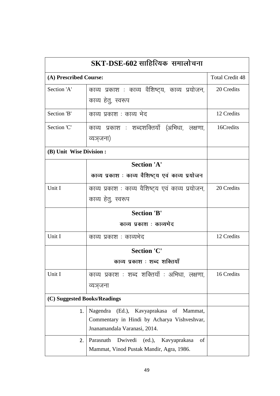| $\mathbf{SKT\text{-}DSE\text{-}602}$ साहित्यिक) समालोचना |                                                                                               |            |  |  |  |
|----------------------------------------------------------|-----------------------------------------------------------------------------------------------|------------|--|--|--|
|                                                          | (A) Prescribed Course:                                                                        |            |  |  |  |
| Section 'A'                                              | काव्य प्रकाश : काव्य वैशिष्ट्य, काव्य प्रयोजन,                                                | 20 Credits |  |  |  |
|                                                          | काव्य हेतु, स्वरूप                                                                            |            |  |  |  |
| Section 'B'                                              | काव्य प्रकाश : काव्य भेद                                                                      | 12 Credits |  |  |  |
| Section 'C'                                              | काव्य प्रकाश : शब्दशक्तियाँ (अभिधा, लक्षणा,                                                   | 16Credits  |  |  |  |
|                                                          | व्यञ्जना)                                                                                     |            |  |  |  |
| (B) Unit Wise Division :                                 |                                                                                               |            |  |  |  |
|                                                          | <b>Section 'A'</b>                                                                            |            |  |  |  |
|                                                          | काव्य प्रकाश : काव्य वैशिष्ट्य एवं काव्य प्रयोजन                                              |            |  |  |  |
| Unit I                                                   | काव्य प्रकाश : काव्य वैशिष्ट्य एवं काव्य प्रयोजन,                                             | 20 Credits |  |  |  |
|                                                          | काव्य हेतु, स्वरूप                                                                            |            |  |  |  |
|                                                          | <b>Section 'B'</b>                                                                            |            |  |  |  |
|                                                          | काव्य प्रकाश : काव्यभेद                                                                       |            |  |  |  |
| Unit I                                                   | काव्य प्रकाश : काव्यभेद                                                                       | 12 Credits |  |  |  |
|                                                          | <b>Section 'C'</b>                                                                            |            |  |  |  |
|                                                          | काव्य प्रकाश : शब्द शक्तियाँ                                                                  |            |  |  |  |
| Unit I                                                   | काव्य प्रकाश : शब्द शक्तियाँ : अभिधा, लक्षणा,                                                 | 16 Credits |  |  |  |
|                                                          | व्यञजना                                                                                       |            |  |  |  |
| (C) Suggested Books/Readings                             |                                                                                               |            |  |  |  |
| 1.                                                       | (Ed.), Kavyaprakasa of<br>Nagendra<br>Mammat,                                                 |            |  |  |  |
|                                                          | Commentary in Hindi by Acharya Vishveshvar,                                                   |            |  |  |  |
|                                                          | Jnanamandala Varanasi, 2014.                                                                  |            |  |  |  |
| 2.                                                       | Dwivedi (ed.),<br>Parasnath<br>Kavyaprakasa<br>οf<br>Mammat, Vinod Pustak Mandir, Agra, 1986. |            |  |  |  |
|                                                          |                                                                                               |            |  |  |  |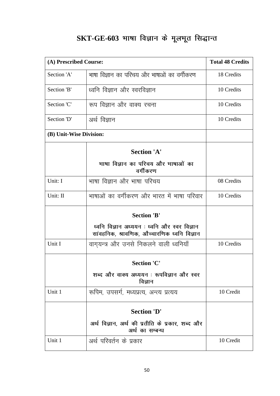# SKT-GE-603 भाषा विज्ञान के मूलभूत सिद्धान्त

| (A) Prescribed Course:  |                                                                                             | <b>Total 48 Credits</b> |
|-------------------------|---------------------------------------------------------------------------------------------|-------------------------|
| Section 'A'             | भाषा विज्ञान का परिचय और भाषाओं का वर्गीकरण                                                 | 18 Credits              |
| Section 'B'             | ध्वनि विज्ञान और स्वरविज्ञान                                                                | 10 Credits              |
| Section 'C'             | रूप विज्ञान और वाक्य रचना                                                                   | 10 Credits              |
| Section 'D'             | अर्थ विज्ञान                                                                                | 10 Credits              |
| (B) Unit-Wise Division: |                                                                                             |                         |
|                         | <b>Section 'A'</b>                                                                          |                         |
|                         | भाषा विज्ञान का परिचय और भाषाओं का<br>वर्गीकरण                                              |                         |
| Unit: I                 | भाषा विज्ञान और भाषा परिचय                                                                  | 08 Credits              |
| Unit: II                | भाषाओं का वर्गीकरण और भारत में भाषा परिवार                                                  | 10 Credits              |
|                         | <b>Section 'B'</b>                                                                          |                         |
|                         | ध्वनि विज्ञान अध्ययन : ध्वनि और स्वर विज्ञान<br>सांवहनिक, श्रावणिक, औच्चारणिक ध्वनि विज्ञान |                         |
| Unit I                  | वागुयन्त्र और उनसे निकलने वाली ध्वनियाँ                                                     | 10 Credits              |
|                         | <b>Section 'C'</b>                                                                          |                         |
|                         | शब्द और वाक्य अध्ययन : रूपविज्ञान और स्वर<br>विज्ञान                                        |                         |
| Unit 1                  | रूपिम, उपसर्ग, मध्यप्रत्य, अन्त्य प्रत्यय                                                   | 10 Credit               |
|                         | <b>Section 'D'</b>                                                                          |                         |
|                         | अर्थ विज्ञान, अर्थ की प्रतीति के प्रकार, शब्द और<br>अर्थ का सम्बन्ध                         |                         |
| Unit 1                  | अर्थ परिवर्तन के प्रकार                                                                     | 10 Credit               |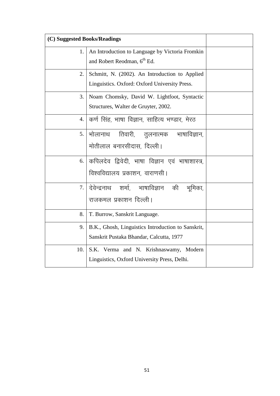| (C) Suggested Books/Readings |                                                                                                 |  |
|------------------------------|-------------------------------------------------------------------------------------------------|--|
| 1.                           | An Introduction to Language by Victoria Fromkin<br>and Robert Reodman, 6 <sup>th</sup> Ed.      |  |
| 2.                           | Schmitt, N. (2002). An Introduction to Applied<br>Linguistics. Oxford: Oxford University Press. |  |
| 3.1                          | Noam Chomsky, David W. Lightfoot, Syntactic<br>Structures, Walter de Gruyter, 2002.             |  |
| 4.                           | कर्ण सिंह, भाषा विज्ञान, साहित्य भण्डार, मेरठ                                                   |  |
|                              | 5.   भोलानाथ    तिवारी,     तुलनात्मक     भाषाविज्ञान,<br>मोतीलाल बनारसीदास, दिल्ली।            |  |
|                              | 6. कपिलदेव द्विवेदी, भाषा विज्ञान एवं भाषाशास्त्र,<br>विश्वविद्यालय प्रकाशन, वाराणसी            |  |
|                              | 7. दिवेन्द्रनाथ शर्मा, भाषाविज्ञान की भूमिका,<br>राजकमल प्रकाशन दिल्ली।                         |  |
| 8.                           | T. Burrow, Sanskrit Language.                                                                   |  |
| 9.                           | B.K., Ghosh, Linguistics Introduction to Sanskrit,<br>Sanskrit Pustaka Bhandar, Calcutta, 1977  |  |
| 10.                          | S.K. Verma and N. Krishnaswamy, Modern<br>Linguistics, Oxford University Press, Delhi.          |  |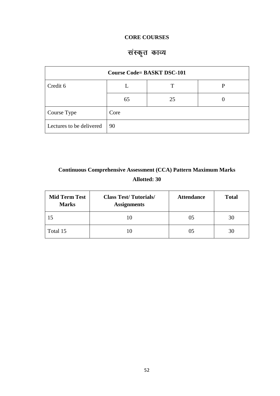## **CORE COURSES**

# संस्कृत काव्य

| <b>Course Code= BASKT DSC-101</b> |      |    |   |  |
|-----------------------------------|------|----|---|--|
| Credit 6                          |      |    | D |  |
|                                   | 65   | 25 |   |  |
| Course Type                       | Core |    |   |  |
| Lectures to be delivered          | 90   |    |   |  |

## **Continuous Comprehensive Assessment (CCA) Pattern Maximum Marks Allotted: 30**

| <b>Mid Term Test</b><br><b>Marks</b> | <b>Class Test/Tutorials/</b><br><b>Assignments</b> | <b>Attendance</b> | <b>Total</b> |
|--------------------------------------|----------------------------------------------------|-------------------|--------------|
|                                      |                                                    | 05                | 30           |
| Total 15                             |                                                    |                   | 30           |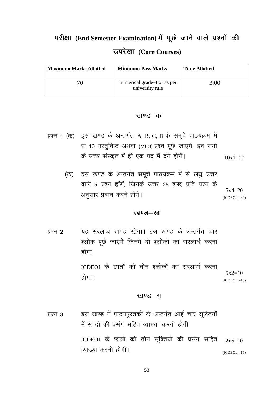# परीक्षा (End Semester Examination) में पूछे जाने वाले प्रश्नों की **:ijs[kk (Core Courses)**

| <b>Maximum Marks Allotted</b> | <b>Minimum Pass Marks</b>                      | <b>Time Allotted</b> |
|-------------------------------|------------------------------------------------|----------------------|
|                               | numerical grade-4 or as per<br>university rule | 3:00                 |

### खण्ड–क

| प्रश्न 1 (क)) इस खण्ड के अन्तर्गत A, B, C, D के समूचे पाठ्यक्रम में |           |
|---------------------------------------------------------------------|-----------|
| से 10 वस्तुनिष्ठ अथवा (MCQ) प्रश्न पूछे जाएंगे, इन सभी              |           |
| के उत्तर संस्कृत में ही एक पद में देने होंगें।                      | $10x1=10$ |

(ख) इस खण्ड के अन्तर्गत समूचे पाठ्यक्रम में से लघु उत्तर वाले 5 प्रश्न होंगें, जिनके उत्तर 25 शब्द प्रति प्रश्न के अनुसार प्रदान करने होंगे।  $5x4=20$  $(ICDEOL = 30)$ 

#### खण्ड–ख

प्रश्न 2 यह सरलार्थ खण्ड रहेगा। इस खण्ड के अन्तर्गत चार श्लोक पूछे जाएंगे जिनमें दो श्लोकों का सरलार्थ करना होगा

> ICDEOL के छात्रों को तीन श्लोकों का सरलार्थ करना होगा ।  $5x2=10$  $(ICDEOL = 15)$

### खण्ड–ग

प्रश्न 3 व्हस खण्ड में पाठयपुस्तकों के अन्तर्गत आई चार सूक्तियों में से दो की प्रसंग सहित व्याख्या करनी होगी ICDEOL के छात्रों को तीन सूक्तियों की प्रसंग सहित व्याख्या करनी होगी।  $2x5=10$  $(ICDEOL = 15)$ 

53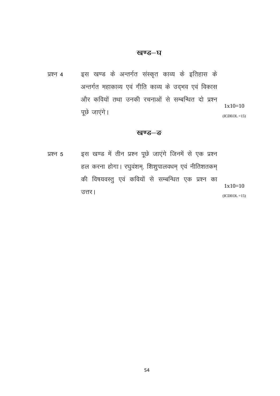### खण्ड–घ

प्रश्न 4 व्या हस खण्ड के अन्तर्गत संस्कृत काव्य के इतिहास के अन्तर्गत महाकाव्य एवं गीति काव्य के उद्भव एवं विकास ओर कवियों तथा उनकी रचनाओं से सम्बन्धित दो प्रश्न पूछे जाएंगे।  $1x10=10$  $(ICDEOL = 15)$ 

### **खण्ड–**ङ

प्रश्न 5 इस खण्ड में तीन प्रश्न पूछे जाएंगे जिनमें से एक प्रश्न हल करना होगा। रघुवंशम्, शिशुपालवधम् एवं नीतिशतकम् की विषयवस्तु एवं कवियों से सम्बन्धित एक प्रश्न का उत्तर।  $1x10=10$  $(ICDEOL = 15)$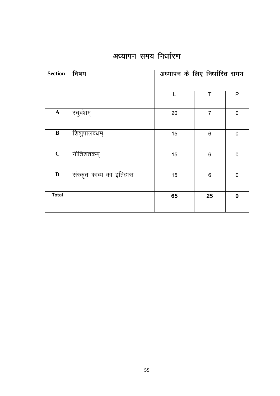## अध्यापन समय निर्धारण

| <b>Section</b> | विषय                    | अध्यापन के लिए निर्धारित समय |                 |             |
|----------------|-------------------------|------------------------------|-----------------|-------------|
|                |                         | L                            | T               | P           |
| ${\bf A}$      | रघुवंशम्                | 20                           | $\overline{7}$  | $\mathbf 0$ |
| $\, {\bf B}$   | शिशुपालवधम्             | 15                           | $6\phantom{1}6$ | $\mathbf 0$ |
| $\mathbf C$    | नीतिशतकम्               | 15                           | 6               | $\mathbf 0$ |
| $\mathbf D$    | संस्कृत काव्य का इतिहास | 15                           | $6\phantom{1}6$ | $\mathbf 0$ |
| <b>Total</b>   |                         | 65                           | 25              | $\bf{0}$    |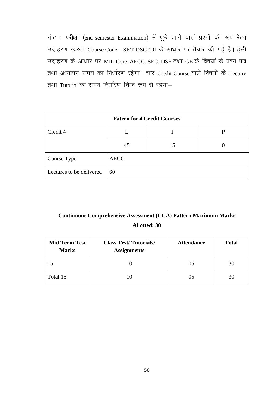नोट : परीक्षा (end semester Examination) में पूछे जाने वालें प्रश्नों की रूप रेखा उदाहरण स्वरूप Course Code – SKT-DSC-101 के आधार पर तैयार की गई है। इसी उदाहरण के आधार पर MIL-Core, AECC, SEC, DSE तथा GE के विषयों के प्रश्न पत्र तथा अध्यापन समय का निर्धारण रहेगा। चार Credit Course वाले विषयों के Lecture तथा Tutorial का समय निर्धारण निम्न रूप से रहेगा-

| <b>Patern for 4 Credit Courses</b> |             |    |  |
|------------------------------------|-------------|----|--|
| Credit 4                           |             |    |  |
|                                    | 45          | 15 |  |
| Course Type                        | <b>AECC</b> |    |  |
| Lectures to be delivered           | 60          |    |  |

## **Continuous Comprehensive Assessment (CCA) Pattern Maximum Marks Allotted: 30**

| <b>Mid Term Test</b><br><b>Marks</b> | <b>Class Test/Tutorials/</b><br><b>Assignments</b> | <b>Attendance</b> | <b>Total</b> |
|--------------------------------------|----------------------------------------------------|-------------------|--------------|
|                                      |                                                    | 05                | 30           |
| Total 15                             |                                                    | 05                | 30           |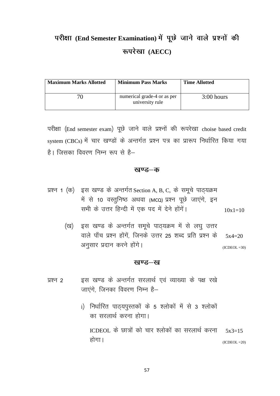# परीक्षा (End Semester Examination) में पूछे जाने वाले प्रश्नों की **:ijs[kk (AECC)**

| <b>Maximum Marks Allotted</b> | <b>Minimum Pass Marks</b>                      | <b>Time Allotted</b> |
|-------------------------------|------------------------------------------------|----------------------|
| 76                            | numerical grade-4 or as per<br>university rule | $3:00$ hours         |

परीक्षा (End semester exam) पूछे जाने वाले प्रश्नों की रूपरेखा choise based credit system (CBCs) में चार खण्डों के अन्तर्गत प्रश्न पत्र का प्रारूप निर्धारित किया गया है। जिसका विवरण निम्न रूप से है—

### खण्ड—क

- प्रश्न 1 (क) इस खण्ड के अन्तर्गत Section A, B, C, के समूचे पाठ्यक्रम में से 10 वस्तुनिष्ठ अथवा (MCQ) प्रश्न पूछे जाएंगे, इन सभी के उत्तर हिन्दी में एक पद में देने होंगें।  $10x1=10$ 
	- (ख) इस खण्ड के अन्तर्गत समूचे पाठ्यक्रम में से लघु उत्तर वाले पाँच प्रश्न होंगें, जिनके उत्तर 25 शब्द प्रति प्रश्न के अनुसार प्रदान करने होंगे। 5x4=20  $(ICDEOL = 30)$

### **खण्ड—**ख

प्रश्न 2 इस खण्ड के अन्तर्गत सरलार्थ एवं व्याख्या के पक्ष रखे जाएंगे. जिनका विवरण निम्न है–

होगा।

i) निर्धारित पाठ्यपुस्तकों के 5 श्लोकों में से 3 श्लोकों का सरलार्थ करना होगा। ICDEOL के छात्रों को चार श्लोकों का सरलार्थ करना  $5x3=15$ 

 $(ICDEOL = 20)$ 

57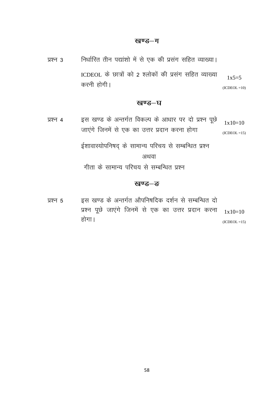<u>प्रश्न 3 निर्धारित तीन पद्यांशो में से एक की प्रसंग सहित व्याख्या।</u> ICDEOL के छात्रों को 2 श्लोकों की प्रसंग सहित व्याख्या करनी होगी।  $1x5=5$  $(ICDEOL = 10)$ 

## खण्ड—घ

प्रश्न 4 व्हस खण्ड के अन्तर्गत विकल्प के आधार पर दो प्रश्न पूछे जाएंगे जिनमें से एक का उत्तर प्रदान करना होगा  $1x10=10$  $(ICDEOL = 15)$ 

ईशावास्योपनिषद् के सामान्य परिचय से सम्बन्धित प्रश्न

अथवा

गीता के सामान्य परिचय से सम्बन्धित प्रश्न

### खण्ड–<del>ड</del>

प्रश्न 5 व्हस खण्ड के अन्तर्गत औपनिषदिक दर्शन से सम्बन्धित दो प्रश्न पूछे जाएंगे जिनमें से एक का उत्तर प्रदान करना होगा।  $1x10=10$  $(ICDEOL = 15)$